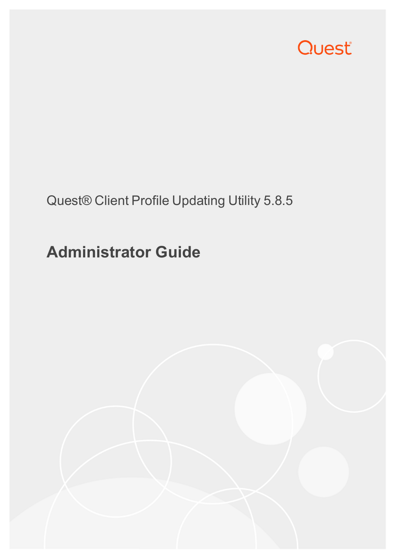

### Quest® Client Profile Updating Utility 5.8.5

# **Administrator Guide**

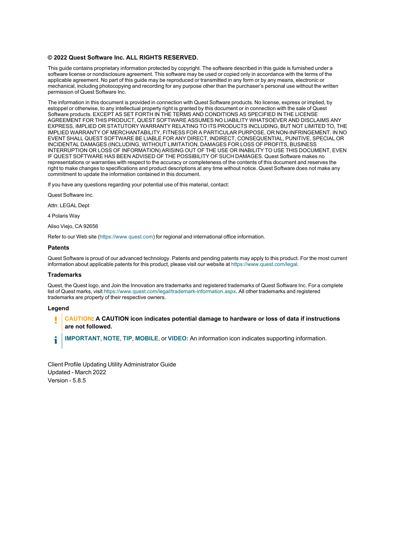#### **© 2022 Quest Software Inc. ALL RIGHTS RESERVED.**

This guide contains proprietary information protected by copyright. The software described in this guide is furnished under a software license or nondisclosure agreement. This software may be used or copied only in accordance with the terms of the applicable agreement. No part of this guide may be reproduced or transmitted in any form or by any means, electronic or mechanical, including photocopying and recording for any purpose other than the purchaser's personal use without the written permission of Quest Software Inc.

The information in this document is provided in connection with Quest Software products. No license, express or implied, by estoppel or otherwise, to any intellectual property right is granted by this document or in connection with the sale of Quest Software products. EXCEPT AS SET FORTH IN THE TERMS AND CONDITIONS AS SPECIFIED IN THE LICENSE AGREEMENT FOR THIS PRODUCT, QUEST SOFTWARE ASSUMES NO LIABILITY WHATSOEVER AND DISCLAIMS ANY EXPRESS, IMPLIED OR STATUTORY WARRANTY RELATING TO ITS PRODUCTS INCLUDING, BUT NOT LIMITED TO, THE IMPLIED WARRANTY OF MERCHANTABILITY, FITNESS FOR A PARTICULAR PURPOSE, OR NON-INFRINGEMENT. IN NO EVENT SHALL QUEST SOFTWARE BE LIABLE FOR ANY DIRECT, INDIRECT, CONSEQUENTIAL, PUNITIVE, SPECIAL OR INCIDENTAL DAMAGES (INCLUDING, WITHOUT LIMITATION, DAMAGES FOR LOSS OF PROFITS, BUSINESS INTERRUPTION OR LOSS OF INFORMATION) ARISING OUT OF THE USE OR INABILITY TO USE THIS DOCUMENT, EVEN IF QUEST SOFTWARE HAS BEEN ADVISED OF THE POSSIBILITY OF SUCH DAMAGES. Quest Software makes no representations or warranties with respect to the accuracy or completeness of the contents of this document and reserves the right to make changes to specifications and product descriptions at any time without notice. Quest Software does not make any commitment to update the information contained in this document.

If you have any questions regarding your potential use of this material, contact:

Quest Software Inc.

Attn: LEGAL Dept

4 Polaris Way

Aliso Viejo, CA 92656

Refer to our Web site [\(https://www.quest.com\)](https://www.quest.com/) for regional and international office information.

#### **Patents**

Quest Software is proud of our advanced technology. Patents and pending patents may apply to this product. For the most current information about applicable patents for this product, please visit our website at <https://www.quest.com/legal>.

#### **Trademarks**

Quest, the Quest logo, and Join the Innovation are trademarks and registered trademarks of Quest Software Inc. For a complete list of Quest marks, visit [https://www.quest.com/legal/trademark-information.aspx.](https://www.quest.com/legal/trademark-information.aspx) All other trademarks and registered trademarks are property of their respective owners.

#### **Legend**

**CAUTION: A CAUTION icon indicates potential damage to hardware or loss of data if instructions are not followed.**

**IMPORTANT**, **NOTE**, **TIP**, **MOBILE**, or **VIDEO:** An information icon indicates supporting information. i

Client Profile Updating Utility Administrator Guide Updated - March 2022 Version - 5.8.5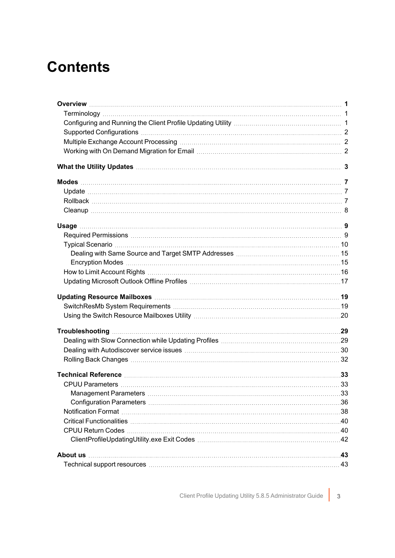### **Contents**

| Technical support resources measures the control of the control of the control of the control of the control of the control of the control of the control of the control of the control of the control of the control of the c |  |
|--------------------------------------------------------------------------------------------------------------------------------------------------------------------------------------------------------------------------------|--|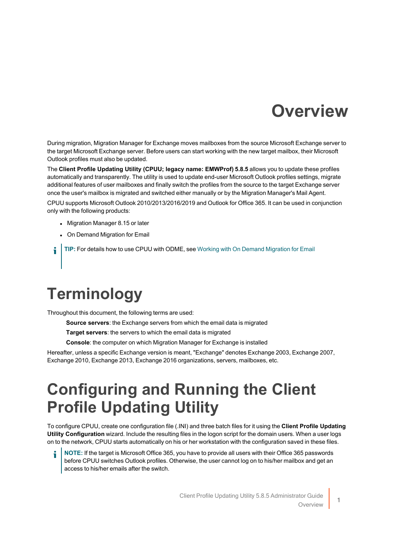### **Overview**

<span id="page-3-0"></span>During migration, Migration Manager for Exchange moves mailboxes from the source Microsoft Exchange server to the target Microsoft Exchange server. Before users can start working with the new target mailbox, their Microsoft Outlook profiles must also be updated.

The **Client Profile Updating Utility (CPUU; legacy name: EMWProf) 5.8.5** allows you to update these profiles automatically and transparently. The utility is used to update end-user Microsoft Outlook profiles settings, migrate additional features of user mailboxes and finally switch the profiles from the source to the target Exchange server once the user's mailbox is migrated and switched either manually or by the Migration Manager's Mail Agent.

CPUU supports Microsoft Outlook 2010/2013/2016/2019 and Outlook for Office 365. It can be used in conjunction only with the following products:

- Migration Manager 8.15 or later
- On Demand Migration for Email
- **TIP:** For details how to use CPUU with ODME, see Working with On Demand [Migration](#page-4-2) for Email i

### <span id="page-3-1"></span>**Terminology**

Throughout this document, the following terms are used:

- **Source servers**: the Exchange servers from which the email data is migrated
- **Target servers**: the servers to which the email data is migrated
- **Console**: the computer on which Migration Manager for Exchange is installed

<span id="page-3-2"></span>Hereafter, unless a specific Exchange version is meant, "Exchange" denotes Exchange 2003, Exchange 2007, Exchange 2010, Exchange 2013, Exchange 2016 organizations, servers, mailboxes, etc.

### **Configuring and Running the Client Profile Updating Utility**

To configure CPUU, create one configuration file (.INI) and three batch files for it using the **Client Profile Updating Utility Configuration** wizard. Include the resulting files in the logon script for the domain users. When a user logs on to the network, CPUU starts automatically on his or her workstation with the configuration saved in these files.

**NOTE:** If the target is Microsoft Office 365, you have to provide all users with their Office 365 passwords before CPUU switches Outlook profiles. Otherwise, the user cannot log on to his/her mailbox and get an access to his/her emails after the switch.

1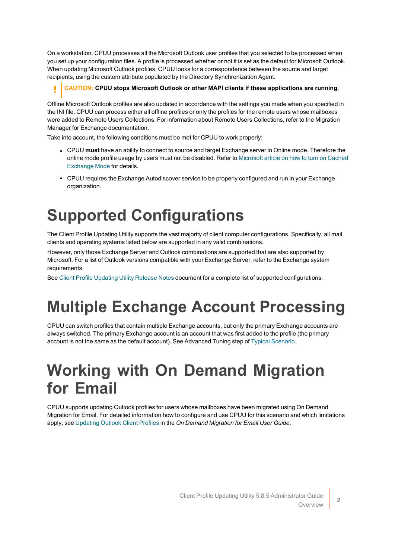On a workstation, CPUU processes all the Microsoft Outlook user profiles that you selected to be processed when you set up your configuration files. A profile is processed whether or not it is set as the default for Microsoft Outlook. When updating Microsoft Outlook profiles, CPUU looks for a correspondence between the source and target recipients, using the custom attribute populated by the Directory Synchronization Agent.

### **CAUTION: CPUU stops Microsoft Outlook or other MAPI clients if these applications are running.**

Offline Microsoft Outlook profiles are also updated in accordance with the settings you made when you specified in the INI file. CPUU can process either all offline profiles or only the profiles for the remote users whose mailboxes were added to Remote Users Collections. For information about Remote Users Collections, refer to the Migration Manager for Exchange documentation.

Take into account, the following conditions must be met for CPUU to work properly:

- <sup>l</sup> CPUU **must** have an ability to connect to source and target Exchange server in Online mode. Therefore the online mode profile usage by users must not be disabled. Refer to [Microsoft](https://technet.microsoft.com/en-us/library/dd439383(v=exchg.80).aspx) article on how to turn on Cached [Exchange](https://technet.microsoft.com/en-us/library/dd439383(v=exchg.80).aspx) Mode for details.
- CPUU requires the Exchange Autodiscover service to be properly configured and run in your Exchange organization.

# <span id="page-4-0"></span>**Supported Configurations**

The Client Profile Updating Utility supports the vast majority of client computer configurations. Specifically, all mail clients and operating systems listed below are supported in any valid combinations.

However, only those Exchange Server and Outlook combinations are supported that are also supported by Microsoft. For a list of Outlook versions compatible with your Exchange Server, refer to the Exchange system requirements.

<span id="page-4-1"></span>See Client Profile [Updating](https://support.quest.com/technical-documents/client-profile-updating-utility/5.8.5/release-notes/release-notes/supported-configurations) Utility Release Notes document for a complete list of supported configurations.

# **Multiple Exchange Account Processing**

CPUU can switch profiles that contain multiple Exchange accounts, but only the primary Exchange accounts are always switched. The primary Exchange account is an account that was first added to the profile (the primary account is not the same as the default account). See Advanced Tuning step of Typical [Scenario](https://support.quest.com/technical-documents/client-profile-updating-utility/5.8.5/release-notes/typical-scenario).

### <span id="page-4-2"></span>**Working with On Demand Migration for Email**

CPUU supports updating Outlook profiles for users whose mailboxes have been migrated using On Demand Migration for Email. For detailed information how to configure and use CPUU for this scenario and which limitations apply, see [Updating](https://support.quest.com/technical-documents/on-demand-migration-for-email/user-guide/configuring-and-running-migrations/selecting-migration-options/updating-outlook-client-profiles) Outlook Client Profiles in the *On Demand Migration for Email User Guide*.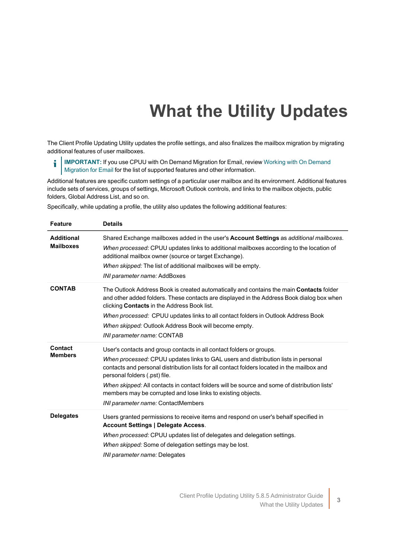# **What the Utility Updates**

<span id="page-5-0"></span>The Client Profile Updating Utility updates the profile settings, and also finalizes the mailbox migration by migrating additional features of user mailboxes.

i **IMPORTANT:** If you use CPUU with On Demand Migration for Email, review Working with On [Demand](#page-4-2) [Migration](#page-4-2) for Email for the list of supported features and other information.

Additional features are specific custom settings of a particular user mailbox and its environment. Additional features include sets of services, groups of settings, Microsoft Outlook controls, and links to the mailbox objects, public folders, Global Address List, and so on.

Specifically, while updating a profile, the utility also updates the following additional features:

| <b>Feature</b>                        | <b>Details</b>                                                                                                                                                                                                                                                                                                                                                                                                                                                                                   |
|---------------------------------------|--------------------------------------------------------------------------------------------------------------------------------------------------------------------------------------------------------------------------------------------------------------------------------------------------------------------------------------------------------------------------------------------------------------------------------------------------------------------------------------------------|
| <b>Additional</b><br><b>Mailboxes</b> | Shared Exchange mailboxes added in the user's <b>Account Settings</b> as additional mailboxes.<br>When processed: CPUU updates links to additional mailboxes according to the location of<br>additional mailbox owner (source or target Exchange).<br>When skipped: The list of additional mailboxes will be empty.<br>INI parameter name: AddBoxes                                                                                                                                              |
| <b>CONTAB</b>                         | The Outlook Address Book is created automatically and contains the main <b>Contacts</b> folder<br>and other added folders. These contacts are displayed in the Address Book dialog box when<br>clicking <b>Contacts</b> in the Address Book list.<br>When processed: CPUU updates links to all contact folders in Outlook Address Book<br>When skipped: Outlook Address Book will become empty.<br>INI parameter name: CONTAB                                                                    |
| Contact<br><b>Members</b>             | User's contacts and group contacts in all contact folders or groups.<br>When processed: CPUU updates links to GAL users and distribution lists in personal<br>contacts and personal distribution lists for all contact folders located in the mailbox and<br>personal folders (.pst) file.<br>When skipped: All contacts in contact folders will be source and some of distribution lists'<br>members may be corrupted and lose links to existing objects.<br>INI parameter name: ContactMembers |
| <b>Delegates</b>                      | Users granted permissions to receive items and respond on user's behalf specified in<br><b>Account Settings   Delegate Access.</b><br>When processed: CPUU updates list of delegates and delegation settings.<br>When skipped: Some of delegation settings may be lost.<br>INI parameter name: Delegates                                                                                                                                                                                         |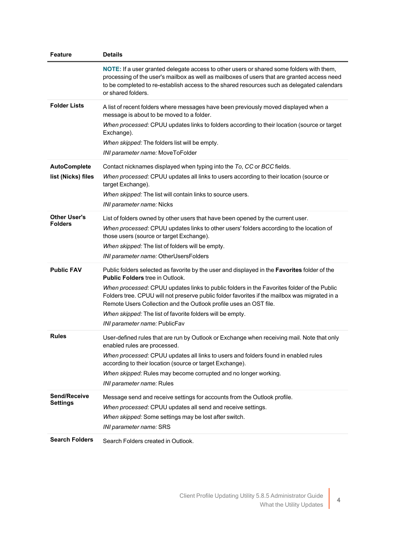| <b>Feature</b>                            | <b>Details</b>                                                                                                                                                                                                                                                                                                                                                                                                                                                                                           |
|-------------------------------------------|----------------------------------------------------------------------------------------------------------------------------------------------------------------------------------------------------------------------------------------------------------------------------------------------------------------------------------------------------------------------------------------------------------------------------------------------------------------------------------------------------------|
|                                           | NOTE: If a user granted delegate access to other users or shared some folders with them,<br>processing of the user's mailbox as well as mailboxes of users that are granted access need<br>to be completed to re-establish access to the shared resources such as delegated calendars<br>or shared folders.                                                                                                                                                                                              |
| <b>Folder Lists</b>                       | A list of recent folders where messages have been previously moved displayed when a<br>message is about to be moved to a folder.<br>When processed: CPUU updates links to folders according to their location (source or target<br>Exchange).<br>When skipped: The folders list will be empty.<br>INI parameter name: MoveToFolder                                                                                                                                                                       |
| <b>AutoComplete</b><br>list (Nicks) files | Contact nicknames displayed when typing into the To, CC or BCC fields.<br>When processed: CPUU updates all links to users according to their location (source or<br>target Exchange).<br>When skipped: The list will contain links to source users.<br>INI parameter name: Nicks                                                                                                                                                                                                                         |
| <b>Other User's</b><br><b>Folders</b>     | List of folders owned by other users that have been opened by the current user.<br>When processed: CPUU updates links to other users' folders according to the location of<br>those users (source or target Exchange).<br>When skipped: The list of folders will be empty.<br>INI parameter name: OtherUsersFolders                                                                                                                                                                                      |
| <b>Public FAV</b>                         | Public folders selected as favorite by the user and displayed in the Favorites folder of the<br><b>Public Folders</b> tree in Outlook.<br>When processed: CPUU updates links to public folders in the Favorites folder of the Public<br>Folders tree. CPUU will not preserve public folder favorites if the mailbox was migrated in a<br>Remote Users Collection and the Outlook profile uses an OST file.<br>When skipped: The list of favorite folders will be empty.<br>INI parameter name: PublicFav |
| <b>Rules</b>                              | User-defined rules that are run by Outlook or Exchange when receiving mail. Note that only<br>enabled rules are processed.<br>When processed: CPUU updates all links to users and folders found in enabled rules<br>according to their location (source or target Exchange).<br>When skipped: Rules may become corrupted and no longer working.<br>INI parameter name: Rules                                                                                                                             |
| Send/Receive<br><b>Settings</b>           | Message send and receive settings for accounts from the Outlook profile.<br>When processed: CPUU updates all send and receive settings.<br>When skipped: Some settings may be lost after switch.<br>INI parameter name: SRS                                                                                                                                                                                                                                                                              |
| <b>Search Folders</b>                     | Search Folders created in Outlook.                                                                                                                                                                                                                                                                                                                                                                                                                                                                       |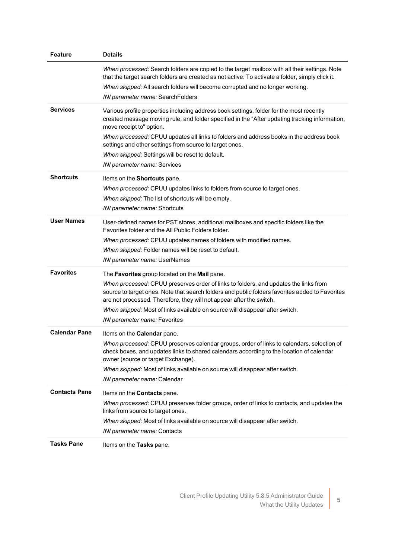| Feature              | <b>Details</b>                                                                                                                                                                                                                                                                                                                                                                                                                                                   |
|----------------------|------------------------------------------------------------------------------------------------------------------------------------------------------------------------------------------------------------------------------------------------------------------------------------------------------------------------------------------------------------------------------------------------------------------------------------------------------------------|
|                      | When processed: Search folders are copied to the target mailbox with all their settings. Note<br>that the target search folders are created as not active. To activate a folder, simply click it.<br>When skipped: All search folders will become corrupted and no longer working.<br>INI parameter name: SearchFolders                                                                                                                                          |
| <b>Services</b>      | Various profile properties including address book settings, folder for the most recently<br>created message moving rule, and folder specified in the "After updating tracking information,<br>move receipt to" option.<br>When processed: CPUU updates all links to folders and address books in the address book<br>settings and other settings from source to target ones.<br>When skipped: Settings will be reset to default.<br>INI parameter name: Services |
| <b>Shortcuts</b>     | Items on the Shortcuts pane.<br>When processed: CPUU updates links to folders from source to target ones.<br>When skipped: The list of shortcuts will be empty.<br><i>INI parameter name:</i> Shortcuts                                                                                                                                                                                                                                                          |
| <b>User Names</b>    | User-defined names for PST stores, additional mailboxes and specific folders like the<br>Favorites folder and the All Public Folders folder.<br>When processed: CPUU updates names of folders with modified names.<br>When skipped: Folder names will be reset to default.<br>INI parameter name: UserNames                                                                                                                                                      |
| <b>Favorites</b>     | The Favorites group located on the Mail pane.<br>When processed: CPUU preserves order of links to folders, and updates the links from<br>source to target ones. Note that search folders and public folders favorites added to Favorites<br>are not processed. Therefore, they will not appear after the switch.<br>When skipped: Most of links available on source will disappear after switch.<br>INI parameter name: Favorites                                |
| <b>Calendar Pane</b> | Items on the Calendar pane.<br>When processed: CPUU preserves calendar groups, order of links to calendars, selection of<br>check boxes, and updates links to shared calendars according to the location of calendar<br>owner (source or target Exchange).<br>When skipped: Most of links available on source will disappear after switch.<br>INI parameter name: Calendar                                                                                       |
| <b>Contacts Pane</b> | Items on the Contacts pane.<br>When processed: CPUU preserves folder groups, order of links to contacts, and updates the<br>links from source to target ones.<br>When skipped: Most of links available on source will disappear after switch.<br>INI parameter name: Contacts                                                                                                                                                                                    |
| <b>Tasks Pane</b>    | Items on the Tasks pane.                                                                                                                                                                                                                                                                                                                                                                                                                                         |

5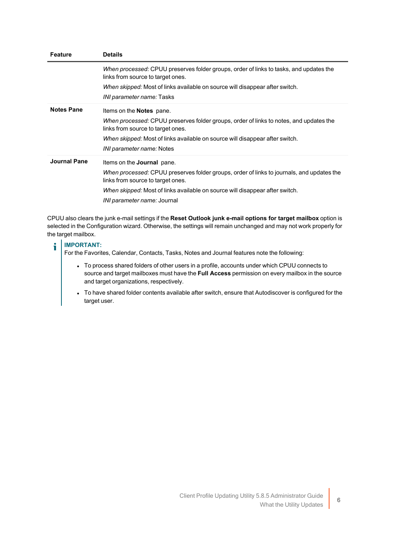| <b>Feature</b>    | <b>Details</b>                                                                                                                 |
|-------------------|--------------------------------------------------------------------------------------------------------------------------------|
|                   | When processed: CPUU preserves folder groups, order of links to tasks, and updates the<br>links from source to target ones.    |
|                   | When skipped: Most of links available on source will disappear after switch.                                                   |
|                   | <i>INI parameter name:</i> Tasks                                                                                               |
| <b>Notes Pane</b> | Items on the <b>Notes</b> pane.                                                                                                |
|                   | When processed: CPUU preserves folder groups, order of links to notes, and updates the<br>links from source to target ones.    |
|                   | When skipped: Most of links available on source will disappear after switch.                                                   |
|                   | <i>INI parameter name:</i> Notes                                                                                               |
| Journal Pane      | Items on the <b>Journal</b> pane.                                                                                              |
|                   | When processed: CPUU preserves folder groups, order of links to journals, and updates the<br>links from source to target ones. |
|                   | When skipped: Most of links available on source will disappear after switch.                                                   |
|                   | INI parameter name: Journal                                                                                                    |

CPUU also clears the junk e-mail settings if the **Reset Outlook junk e-mail options for target mailbox** option is selected in the Configuration wizard. Otherwise, the settings will remain unchanged and may not work properly for the target mailbox.

#### **IMPORTANT:** ÷.

For the Favorites, Calendar, Contacts, Tasks, Notes and Journal features note the following:

- To process shared folders of other users in a profile, accounts under which CPUU connects to source and target mailboxes must have the **Full Access** permission on every mailbox in the source and target organizations, respectively.
- To have shared folder contents available after switch, ensure that Autodiscover is configured for the target user.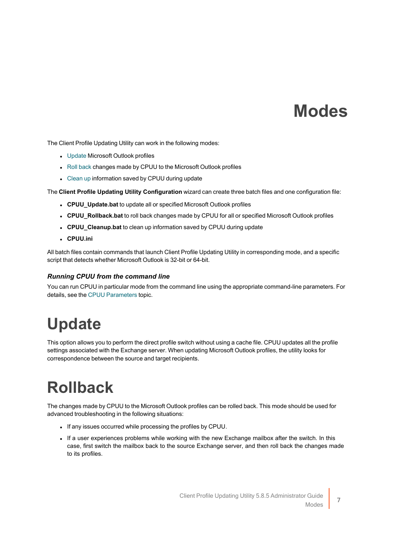### **Modes**

<span id="page-9-0"></span>The Client Profile Updating Utility can work in the following modes:

- [Update](#page-9-1) Microsoft Outlook profiles
- Roll [back](#Roll%20back) changes made by CPUU to the Microsoft Outlook profiles
- [Clean](../../../../../Content/Cleanup.htm) up information saved by CPUU during update

The **Client Profile Updating Utility Configuration** wizard can create three batch files and one configuration file:

- <sup>l</sup> **CPUU\_Update.bat** to update all or specified Microsoft Outlook profiles
- <sup>l</sup> **CPUU\_Rollback.bat** to roll back changes made by CPUU for all or specified Microsoft Outlook profiles
- **.** CPUU\_Cleanup.bat to clean up information saved by CPUU during update
- <sup>l</sup> **CPUU.ini**

All batch files contain commands that launch Client Profile Updating Utility in corresponding mode, and a specific script that detects whether Microsoft Outlook is 32-bit or 64-bit.

#### *Running CPUU from the command line*

<span id="page-9-1"></span>You can run CPUU in particular mode from the command line using the appropriate command-line parameters. For details, see the CPUU [Parameters](../../../../../Content/CPUU Parameters.htm) topic.

### **Update**

This option allows you to perform the direct profile switch without using a cache file. CPUU updates all the profile settings associated with the Exchange server. When updating Microsoft Outlook profiles, the utility looks for correspondence between the source and target recipients.

# <span id="page-9-2"></span>**Rollback**

The changes made by CPUU to the Microsoft Outlook profiles can be rolled back. This mode should be used for advanced troubleshooting in the following situations:

- If any issues occurred while processing the profiles by CPUU.
- If a user experiences problems while working with the new Exchange mailbox after the switch. In this case, first switch the mailbox back to the source Exchange server, and then roll back the changes made to its profiles.

7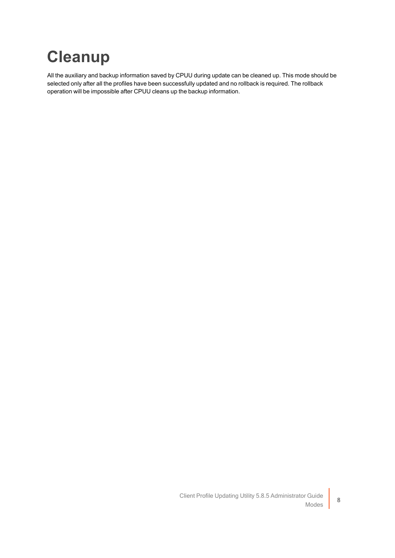# <span id="page-10-0"></span>**Cleanup**

All the auxiliary and backup information saved by CPUU during update can be cleaned up. This mode should be selected only after all the profiles have been successfully updated and no rollback is required. The rollback operation will be impossible after CPUU cleans up the backup information.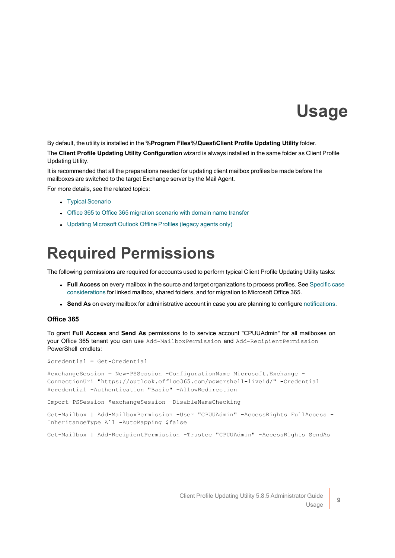### **Usage**

<span id="page-11-0"></span>By default, the utility is installed in the **%Program Files%\Quest\Client Profile Updating Utility** folder. The **Client Profile Updating Utility Configuration** wizard is always installed in the same folder as Client Profile Updating Utility.

It is recommended that all the preparations needed for updating client mailbox profiles be made before the mailboxes are switched to the target Exchange server by the Mail Agent.

For more details, see the related topics:

- Typical [Scenario](../../../../../Content/Typical Scenario.htm)
- Office 365 to Office 365 [migration](../../../../../Content/T2T_domain_name_transfer.htm) scenario with domain name transfer
- <span id="page-11-1"></span>• Updating [Microsoft](../../../../../Content/Updating_MS_Outlook_Offline_Profiles.htm) Outlook Offline Profiles (legacy agents only)

### **Required Permissions**

The following permissions are required for accounts used to perform typical Client Profile Updating Utility tasks:

- **Full Access** on every mailbox in the source and target organizations to process profiles. See [Specific](#page-12-1) case [considerations](#page-12-1) for linked mailbox, shared folders, and for migration to Microsoft Office 365.
- **Send As** on every mailbox for administrative account in case you are planning to configure [notifications](../../../../../Content/Notification Format.htm).

### **Office 365**

To grant **Full Access** and **Send As** permissions to to service account "CPUUAdmin" for all mailboxes on your Office 365 tenant you can use Add-MailboxPermission and Add-RecipientPermission PowerShell cmdlets:

\$credential = Get-Credential

\$exchangeSession = New-PSSession -ConfigurationName Microsoft.Exchange - ConnectionUri "https://outlook.office365.com/powershell-liveid/" -Credential \$credential -Authentication "Basic" -AllowRedirection

Import-PSSession \$exchangeSession -DisableNameChecking

Get-Mailbox | Add-MailboxPermission -User "CPUUAdmin" -AccessRights FullAccess -InheritanceType All -AutoMapping \$false

Get-Mailbox | Add-RecipientPermission -Trustee "CPUUAdmin" -AccessRights SendAs

9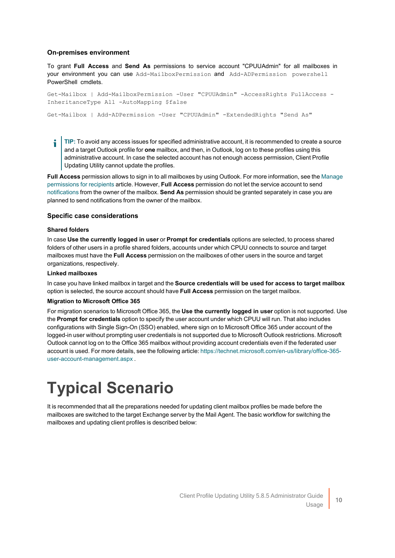### **On-premises environment**

To grant **Full Access** and **Send As** permissions to service account "CPUUAdmin" for all mailboxes in your environment you can use Add-MailboxPermission and Add-ADPermission powershell PowerShell cmdlets.

Get-Mailbox | Add-MailboxPermission -User "CPUUAdmin" -AccessRights FullAccess -InheritanceType All -AutoMapping \$false

Get-Mailbox | Add-ADPermission -User "CPUUAdmin" -ExtendedRights "Send As"

**TIP:** To avoid any access issues for specified administrative account, it is recommended to create a source ÷ and a target Outlook profile for **one** mailbox, and then, in Outlook, log on to these profiles using this administrative account. In case the selected account has not enough access permission, Client Profile Updating Utility cannot update the profiles.

**Full Access** permission allows to sign in to all mailboxes by using Outlook. For more information, see the [Manage](https://docs.microsoft.com/en-us/exchange/recipients/mailbox-permissions?view=exchserver-2019) [permissions](https://docs.microsoft.com/en-us/exchange/recipients/mailbox-permissions?view=exchserver-2019) for recipients article. However, **Full Access** permission do not let the service account to send [notifications](../../../../../Content/Notification Format.htm) from the owner of the mailbox. **Send As** permission should be granted separately in case you are planned to send notifications from the owner of the mailbox.

#### <span id="page-12-1"></span>**Specific case considerations**

#### **Shared folders**

In case **Use the currently logged in user** or **Prompt for credentials** options are selected, to process shared folders of other users in a profile shared folders, accounts under which CPUU connects to source and target mailboxes must have the **Full Access** permission on the mailboxes of other users in the source and target organizations, respectively.

#### **Linked mailboxes**

In case you have linked mailbox in target and the **Source credentials will be used for access to target mailbox** option is selected, the source account should have **Full Access** permission on the target mailbox.

#### **Migration to Microsoft Office 365**

For migration scenarios to Microsoft Office 365, the **Use the currently logged in user** option is not supported. Use the **Prompt for credentials** option to specify the user account under which CPUU will run. That also includes configurations with Single Sign-On (SSO) enabled, where sign on to Microsoft Office 365 under account of the logged-in user without prompting user credentials is not supported due to Microsoft Outlook restrictions. Microsoft Outlook cannot log on to the Office 365 mailbox without providing account credentials even if the federated user account is used. For more details, see the following article: [https://technet.microsoft.com/en-us/library/office-365](https://technet.microsoft.com/en-us/library/office-365-user-account-management.aspx) [user-account-management.aspx](https://technet.microsoft.com/en-us/library/office-365-user-account-management.aspx) .

### <span id="page-12-0"></span>**Typical Scenario**

It is recommended that all the preparations needed for updating client mailbox profiles be made before the mailboxes are switched to the target Exchange server by the Mail Agent. The basic workflow for switching the mailboxes and updating client profiles is described below: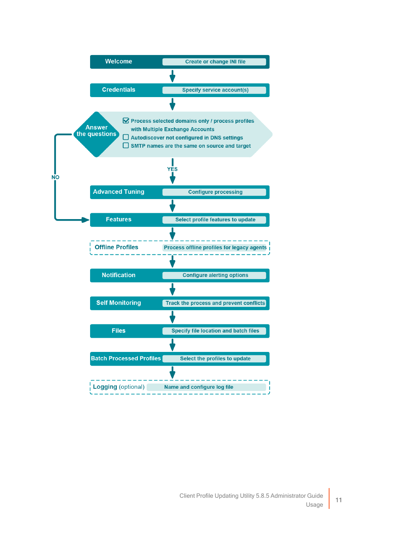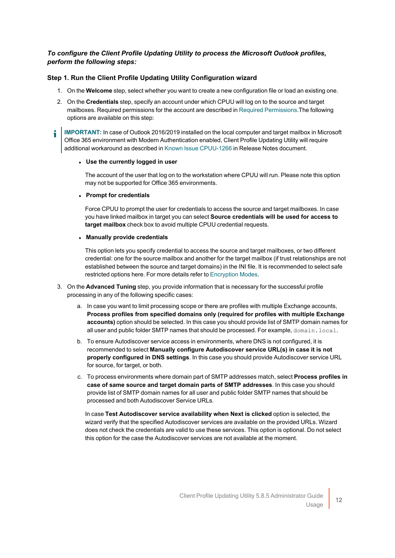### *To configure the Client Profile Updating Utility to process the Microsoft Outlook profiles, perform the following steps:*

### **Step 1. Run the Client Profile Updating Utility Configuration wizard**

- 1. On the **Welcome** step, select whether you want to create a new configuration file or load an existing one.
- 2. On the **Credentials** step, specify an account under which CPUU will log on to the source and target mailboxes. Required permissions for the account are described in Required [Permissions.](#page-11-1)The following options are available on this step:
- **IMPORTANT:** In case of Outlook 2016/2019 installed on the local computer and target mailbox in Microsoft ÷ Office 365 environment with Modern Authentication enabled, Client Profile Updating Utility will require additional workaround as described in Known Issue [CPUU-1266](http://support.quest.com/technical-documents/client-profile-updating-utility/5.8.3/release-notes/release-notes/known-issues) in Release Notes document.

#### <sup>l</sup> **Use the currently logged in user**

The account of the user that log on to the workstation where CPUU will run. Please note this option may not be supported for Office 365 environments.

#### <sup>l</sup> **Prompt for credentials**

Force CPUU to prompt the user for credentials to access the source and target mailboxes. In case you have linked mailbox in target you can select **Source credentials will be used for access to target mailbox** check box to avoid multiple CPUU credential requests.

#### <sup>l</sup> **Manually provide credentials**

This option lets you specify credential to access the source and target mailboxes, or two different credential: one for the source mailbox and another for the target mailbox (if trust relationships are not established between the source and target domains) in the INI file. It is recommended to select safe restricted options here. For more details refer to [Encryption](#page-17-1) Modes.

- 3. On the **Advanced Tuning** step, you provide information that is necessary for the successful profile processing in any of the following specific cases:
	- a. In case you want to limit processing scope or there are profiles with multiple Exchange accounts, **Process profiles from specified domains only (required for profiles with multiple Exchange accounts)** option should be selected. In this case you should provide list of SMTP domain names for all user and public folder SMTP names that should be processed. For example, domain. local.
	- b. To ensure Autodiscover service access in environments, where DNS is not configured, it is recommended to select **Manually configure Autodiscover service URL(s) in case it is not properly configured in DNS settings**. In this case you should provide Autodiscover service URL for source, for target, or both.
	- c. To process environments where domain part of SMTP addresses match, select **Process profiles in case of same source and target domain parts of SMTP addresses**. In this case you should provide list of SMTP domain names for all user and public folder SMTP names that should be processed and both Autodiscover Service URLs.

In case **Test Autodiscover service availability when Next is clicked** option is selected, the wizard verify that the specified Autodiscover services are available on the provided URLs. Wizard does not check the credentials are valid to use these services. This option is optional. Do not select this option for the case the Autodiscover services are not available at the moment.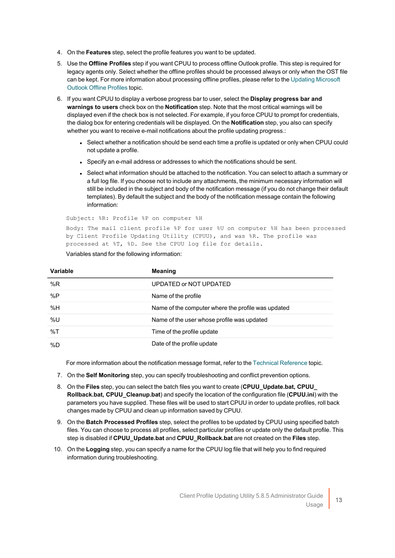- 4. On the **Features** step, select the profile features you want to be updated.
- 5. Use the **Offline Profiles** step if you want CPUU to process offline Outlook profile. This step is required for legacy agents only. Select whether the offline profiles should be processed always or only when the OST file can be kept. For more information about processing offline profiles, please refer to the Updating [Microsoft](../../../../../Content/Updating_MS_Outlook_Offline_Profiles.htm) [Outlook](../../../../../Content/Updating_MS_Outlook_Offline_Profiles.htm) Offline Profiles topic.
- 6. If you want CPUU to display a verbose progress bar to user, select the **Display progress bar and warnings to users** check box on the **Notification** step. Note that the most critical warnings will be displayed even if the check box is not selected. For example, if you force CPUU to prompt for credentials, the dialog box for entering credentials will be displayed. On the **Notification** step, you also can specify whether you want to receive e-mail notifications about the profile updating progress.:
	- Select whether a notification should be send each time a profile is updated or only when CPUU could not update a profile.
	- Specify an e-mail address or addresses to which the notifications should be sent.
	- Select what information should be attached to the notification. You can select to attach a summary or a full log file. If you choose not to include any attachments, the minimum necessary information will still be included in the subject and body of the notification message (if you do not change their default templates). By default the subject and the body of the notification message contain the following information:

Subject: %R: Profile %P on computer %H Body: The mail client profile %P for user %U on computer %H has been processed by Client Profile Updating Utility (CPUU), and was %R. The profile was processed at %T, %D. See the CPUU log file for details.

| Variable | <b>Meaning</b>                                     |
|----------|----------------------------------------------------|
| %R       | UPDATED or NOT UPDATED                             |
| %P       | Name of the profile                                |
| %H       | Name of the computer where the profile was updated |
| %U       | Name of the user whose profile was updated         |
| %T       | Time of the profile update                         |
| %D       | Date of the profile update                         |

#### Variables stand for the following information:

For more information about the notification message format, refer to the Technical [Reference](../../../../../Content/Technical_Reference.htm) topic.

- 7. On the **Self Monitoring** step, you can specify troubleshooting and conflict prevention options.
- 8. On the **Files** step, you can select the batch files you want to create (**CPUU\_Update.bat, CPUU\_ Rollback.bat, CPUU\_Cleanup.bat**) and specify the location of the configuration file (**CPUU.ini**) with the parameters you have supplied. These files will be used to start CPUU in order to update profiles, roll back changes made by CPUU and clean up information saved by CPUU.
- 9. On the **Batch Processed Profiles** step, select the profiles to be updated by CPUU using specified batch files. You can choose to process all profiles, select particular profiles or update only the default profile. This step is disabled if **CPUU\_Update.bat** and **CPUU\_Rollback.bat** are not created on the **Files** step.
- 10. On the **Logging** step, you can specify a name for the CPUU log file that will help you to find required information during troubleshooting.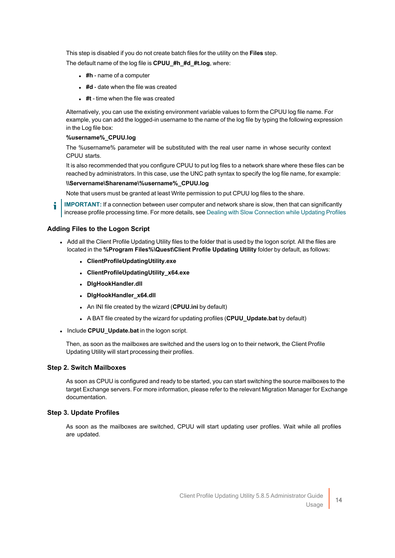This step is disabled if you do not create batch files for the utility on the **Files** step.

The default name of the log file is **CPUU\_#h\_#d\_#t.log**, where:

- <sup>l</sup> **#h** name of a computer
- **.** #d date when the file was created
- **.** #t time when the file was created

Alternatively, you can use the existing environment variable values to form the CPUU log file name. For example, you can add the logged-in username to the name of the log file by typing the following expression in the Log file box:

#### **%username%\_CPUU.log**

The %username% parameter will be substituted with the real user name in whose security context CPUU starts.

It is also recommended that you configure CPUU to put log files to a network share where these files can be reached by administrators. In this case, use the UNC path syntax to specify the log file name, for example:

#### **\\Servername\Sharename\%username%\_CPUU.log**

Note that users must be granted at least Write permission to put CPUU log files to the share.

**IMPORTANT:** If a connection between user computer and network share is slow, then that can significantly increase profile processing time. For more details, see Dealing with Slow [Connection](#page-31-1) while Updating Profiles

### **Adding Files to the Logon Script**

- Add all the Client Profile Updating Utility files to the folder that is used by the logon script. All the files are located in the **%Program Files%\Quest\Client Profile Updating Utility** folder by default, as follows:
	- <sup>l</sup> **ClientProfileUpdatingUtility.exe**
	- <sup>l</sup> **ClientProfileUpdatingUtility\_x64.exe**
	- <sup>l</sup> **DlgHookHandler.dll**
	- **DigHookHandler x64.dll**
	- **.** An INI file created by the wizard (CPUU.ini by default)
	- **A BAT file created by the wizard for updating profiles (CPUU\_Update.bat by default)**
- **.** Include **CPUU** Update.bat in the logon script.

Then, as soon as the mailboxes are switched and the users log on to their network, the Client Profile Updating Utility will start processing their profiles.

#### **Step 2. Switch Mailboxes**

As soon as CPUU is configured and ready to be started, you can start switching the source mailboxes to the target Exchange servers. For more information, please refer to the relevant Migration Manager for Exchange documentation.

### **Step 3. Update Profiles**

As soon as the mailboxes are switched, CPUU will start updating user profiles. Wait while all profiles are updated.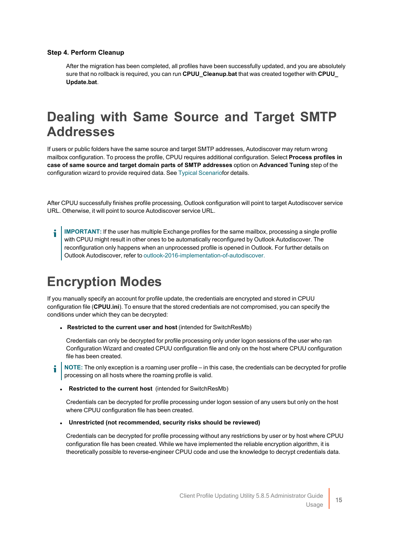### **Step 4. Perform Cleanup**

After the migration has been completed, all profiles have been successfully updated, and you are absolutely sure that no rollback is required, you can run **CPUU\_Cleanup.bat** that was created together with **CPUU\_ Update.bat**.

### <span id="page-17-0"></span>**Dealing with Same Source and Target SMTP Addresses**

If users or public folders have the same source and target SMTP addresses, Autodiscover may return wrong mailbox configuration. To process the profile, CPUU requires additional configuration. Select **Process profiles in case of same source and target domain parts of SMTP addresses** option on **Advanced Tuning** step of the configuration wizard to provide required data. See Typical [Scenariof](#page-12-0)or details.

After CPUU successfully finishes profile processing, Outlook configuration will point to target Autodiscover service URL. Otherwise, it will point to source Autodiscover service URL.

**IMPORTANT:** If the user has multiple Exchange profiles for the same mailbox, processing a single profile i with CPUU might result in other ones to be automatically reconfigured by Outlook Autodiscover. The reconfiguration only happens when an unprocessed profile is opened in Outlook. For further details on Outlook Autodiscover, refer to [outlook-2016-implementation-of-autodiscover.](https://support.microsoft.com/en-us/help/3211279/outlook-2016-implementation-of-autodiscover)

### <span id="page-17-1"></span>**Encryption Modes**

If you manually specify an account for profile update, the credentials are encrypted and stored in CPUU configuration file (**CPUU.ini**). To ensure that the stored credentials are not compromised, you can specify the conditions under which they can be decrypted:

<sup>l</sup> **Restricted to the current user and host** (intended for SwitchResMb)

Credentials can only be decrypted for profile processing only under logon sessions of the user who ran Configuration Wizard and created CPUU configuration file and only on the host where CPUU configuration file has been created.

**NOTE:** The only exception is a roaming user profile – in this case, the credentials can be decrypted for profile processing on all hosts where the roaming profile is valid.

<sup>l</sup> **Restricted to the current host** (intended for SwitchResMb)

Credentials can be decrypted for profile processing under logon session of any users but only on the host where CPUU configuration file has been created.

<sup>l</sup> **Unrestricted (not recommended, security risks should be reviewed)**

Credentials can be decrypted for profile processing without any restrictions by user or by host where CPUU configuration file has been created. While we have implemented the reliable encryption algorithm, it is theoretically possible to reverse-engineer CPUU code and use the knowledge to decrypt credentials data.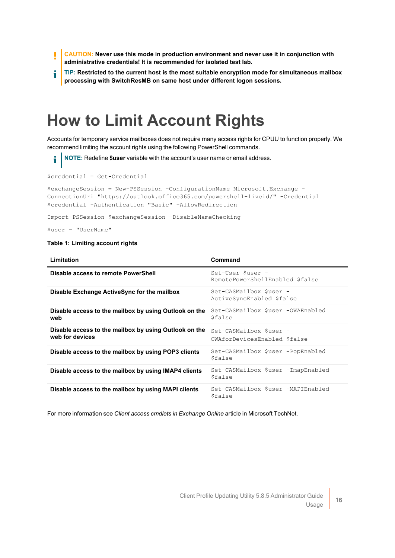- **CAUTION: Never use this mode in production environment and never use it in conjunction with** ī **administrative credentials! It is recommended for isolated test lab.**
- **TIP: Restricted to the current host is the most suitable encryption mode for simultaneous mailbox** i **processing with SwitchResMB on same host under different logon sessions.**

### <span id="page-18-0"></span>**How to Limit Account Rights**

Accounts for temporary service mailboxes does not require many access rights for CPUU to function properly. We recommend limiting the account rights using the following PowerShell commands.

**NOTE:** Redefine **\$user** variable with the account's user name or email address.

```
$credential = Get-Credential
```

```
$exchangeSession = New-PSSession -ConfigurationName Microsoft.Exchange -
ConnectionUri "https://outlook.office365.com/powershell-liveid/" -Credential
$credential -Authentication "Basic" -AllowRedirection
```
Import-PSSession \$exchangeSession -DisableNameChecking

\$user = "UserName"

i

#### **Table 1: Limiting account rights**

| Limitation                                                               | Command                                                    |
|--------------------------------------------------------------------------|------------------------------------------------------------|
| Disable access to remote PowerShell                                      | Set-User \$user -<br>RemotePowerShellEnabled \$false       |
| Disable Exchange ActiveSync for the mailbox                              | Set-CASMailbox \$user -<br>ActiveSyncEnabled \$false       |
| Disable access to the mailbox by using Outlook on the<br>web             | Set-CASMailbox \$user -OWAEnabled<br><i><b>\$false</b></i> |
| Disable access to the mailbox by using Outlook on the<br>web for devices | Set-CASMailbox \$user -<br>OWAforDevicesEnabled \$false    |
| Disable access to the mailbox by using POP3 clients                      | Set-CASMailbox \$user -PopEnabled<br><i><b>Sfalse</b></i>  |
| Disable access to the mailbox by using IMAP4 clients                     | Set-CASMailbox \$user -ImapEnabled<br>\$false              |
| Disable access to the mailbox by using MAPI clients                      | Set-CASMailbox \$user -MAPIEnabled<br>\$false              |

For more information see *Client access cmdlets in Exchange Online* article in Microsoft TechNet.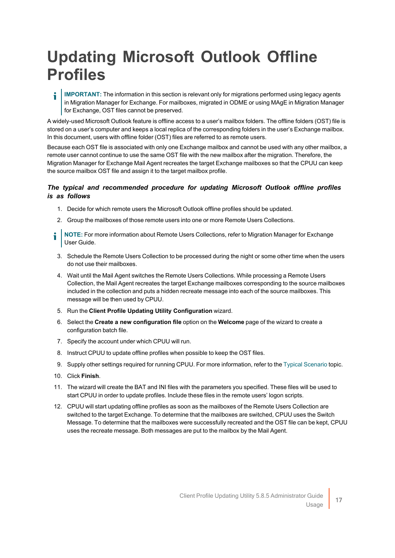### <span id="page-19-0"></span>**Updating Microsoft Outlook Offline Profiles**

**IMPORTANT:** The information in this section is relevant only for migrations performed using legacy agents in Migration Manager for Exchange. For mailboxes, migrated in ODME or using MAgE in Migration Manager for Exchange, OST files cannot be preserved.

A widely-used Microsoft Outlook feature is offline access to a user's mailbox folders. The offline folders (OST) file is stored on a user's computer and keeps a local replica of the corresponding folders in the user's Exchange mailbox. In this document, users with offline folder (OST) files are referred to as remote users.

Because each OST file is associated with only one Exchange mailbox and cannot be used with any other mailbox, a remote user cannot continue to use the same OST file with the new mailbox after the migration. Therefore, the Migration Manager for Exchange Mail Agent recreates the target Exchange mailboxes so that the CPUU can keep the source mailbox OST file and assign it to the target mailbox profile.

### *The typical and recommended procedure for updating Microsoft Outlook offline profiles is as follows*

- 1. Decide for which remote users the Microsoft Outlook offline profiles should be updated.
- 2. Group the mailboxes of those remote users into one or more Remote Users Collections.
- **NOTE:** For more information about Remote Users Collections, refer to Migration Manager for Exchange i User Guide.
- 3. Schedule the Remote Users Collection to be processed during the night or some other time when the users do not use their mailboxes.
- 4. Wait until the Mail Agent switches the Remote Users Collections. While processing a Remote Users Collection, the Mail Agent recreates the target Exchange mailboxes corresponding to the source mailboxes included in the collection and puts a hidden recreate message into each of the source mailboxes. This message will be then used by CPUU.
- 5. Run the **Client Profile Updating Utility Configuration** wizard.
- 6. Select the **Create a new configuration file** option on the **Welcome** page of the wizard to create a configuration batch file.
- 7. Specify the account under which CPUU will run.
- 8. Instruct CPUU to update offline profiles when possible to keep the OST files.
- 9. Supply other settings required for running CPUU. For more information, refer to the Typical [Scenario](../../../../../Content/Typical Scenario.htm) topic.
- 10. Click **Finish**.
- 11. The wizard will create the BAT and INI files with the parameters you specified. These files will be used to start CPUU in order to update profiles. Include these files in the remote users' logon scripts.
- 12. CPUU will start updating offline profiles as soon as the mailboxes of the Remote Users Collection are switched to the target Exchange. To determine that the mailboxes are switched, CPUU uses the Switch Message. To determine that the mailboxes were successfully recreated and the OST file can be kept, CPUU uses the recreate message. Both messages are put to the mailbox by the Mail Agent.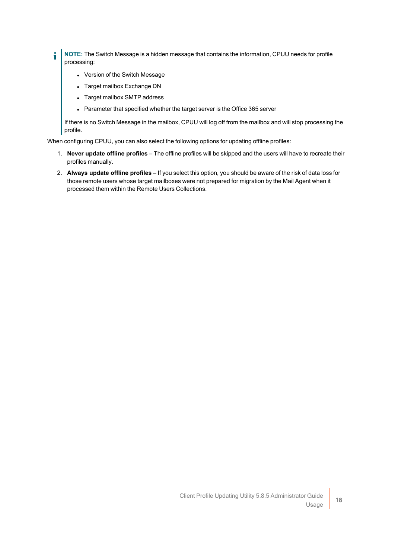- i **NOTE:** The Switch Message is a hidden message that contains the information, CPUU needs for profile processing:
	- Version of the Switch Message
	- Target mailbox Exchange DN
	- Target mailbox SMTP address
	- Parameter that specified whether the target server is the Office 365 server

If there is no Switch Message in the mailbox, CPUU will log off from the mailbox and will stop processing the profile.

When configuring CPUU, you can also select the following options for updating offline profiles:

- 1. **Never update offline profiles** The offline profiles will be skipped and the users will have to recreate their profiles manually.
- 2. **Always update offline profiles** If you select this option, you should be aware of the risk of data loss for those remote users whose target mailboxes were not prepared for migration by the Mail Agent when it processed them within the Remote Users Collections.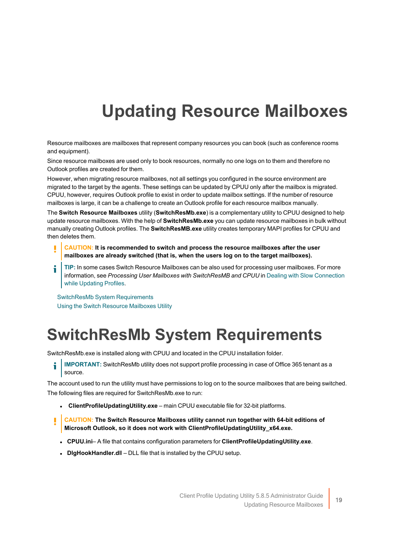# **Updating Resource Mailboxes**

<span id="page-21-0"></span>Resource mailboxes are mailboxes that represent company resources you can book (such as conference rooms and equipment).

Since resource mailboxes are used only to book resources, normally no one logs on to them and therefore no Outlook profiles are created for them.

However, when migrating resource mailboxes, not all settings you configured in the source environment are migrated to the target by the agents. These settings can be updated by CPUU only after the mailbox is migrated. CPUU, however, requires Outlook profile to exist in order to update mailbox settings. If the number of resource mailboxes is large, it can be a challenge to create an Outlook profile for each resource mailbox manually.

The **Switch Resource Mailboxes** utility (**SwitchResMb.exe**) is a complementary utility to CPUU designed to help update resource mailboxes. With the help of **SwitchResMb.exe** you can update resource mailboxes in bulk without manually creating Outlook profiles. The **SwitchResMB.exe** utility creates temporary MAPI profiles for CPUU and then deletes them.

- **CAUTION: It is recommended to switch and process the resource mailboxes after the user mailboxes are already switched (that is, when the users log on to the target mailboxes).**
- **TIP:** In some cases Switch Resource Mailboxes can be also used for processing user mailboxes. For more information, see *Processing User Mailboxes with SwitchResMB and CPUU* in Dealing with Slow [Connection](#page-31-1) while [Updating](#page-31-1) Profiles.

SwitchResMb System [Requirements](#page-21-1) Using the Switch Resource [Mailboxes](#page-22-0) Utility

### <span id="page-21-1"></span>**SwitchResMb System Requirements**

SwitchResMb.exe is installed along with CPUU and located in the CPUU installation folder.

**IMPORTANT:** SwitchResMb utility does not support profile processing in case of Office 365 tenant as a source.

The account used to run the utility must have permissions to log on to the source mailboxes that are being switched. The following files are required for SwitchResMb.exe to run:

- **.** ClientProfileUpdatingUtility.exe main CPUU executable file for 32-bit platforms.
- **CAUTION: The Switch Resource Mailboxes utility cannot run together with 64-bit editions of Microsoft Outlook, so it does not work with ClientProfileUpdatingUtility\_x64.exe.**
- <sup>l</sup> **CPUU.ini** A file that contains configuration parameters for **ClientProfileUpdatingUtility.exe**.
- **.** DigHookHandler.dll DLL file that is installed by the CPUU setup.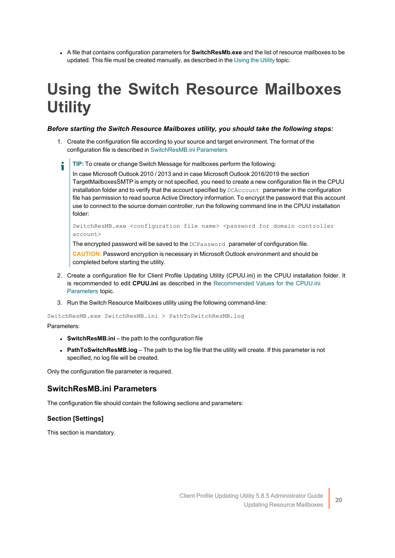<sup>l</sup> A file that contains configuration parameters for **SwitchResMb.exe** and the list of resource mailboxes to be updated. This file must be created manually, as described in the [Using](../../../../../Content/Using_Utility.htm) the Utility topic.

# <span id="page-22-0"></span>**Using the Switch Resource Mailboxes Utility**

### *Before starting the Switch Resource Mailboxes utility, you should take the following steps:*

- 1. Create the configuration file according to your source and target environment. The format of the configuration file is described in [SwitchResMB.ini](#page-22-1) Parameters
	- **TIP:** To create or change Switch Message for mailboxes perform the following:

In case Microsoft Outlook 2010 / 2013 and in case Microsoft Outlook 2016/2019 the section TargetMailboxesSMTP is empty or not specified, you need to create a new configuration file in the CPUU installation folder and to verify that the account specified by DCAccount parameter in the configuration file has permission to read source Active Directory information. To encrypt the password that this account use to connect to the source domain controller, run the following command line in the CPUU installation folder:

SwitchResMB.exe <configuration file name> <password for domain controller account>

The encrypted password will be saved to the DCPassword parameter of configuration file.

**CAUTION:** Password encryption is necessary in Microsoft Outlook environment and should be completed before starting the utility.

- 2. Create a configuration file for Client Profile Updating Utility (CPUU.ini) in the CPUU installation folder. It is recommended to edit **CPUU.ini** as described in the [Recommended](#page-29-0) Values for the CPUU.ini [Parameters](#page-29-0) topic.
- 3. Run the Switch Resource Mailboxes utility using the following command-line:

```
SwitchResMB.exe SwitchResMB.ini > PathToSwitchResMB.log
```
Parameters:

- **SwitchResMB.ini** the path to the configuration file
- **PathToSwitchResMB.log** The path to the log file that the utility will create. If this parameter is not specified, no log file will be created.

<span id="page-22-1"></span>Only the configuration file parameter is required.

### **SwitchResMB.ini Parameters**

The configuration file should contain the following sections and parameters:

### **Section [Settings]**

This section is mandatory.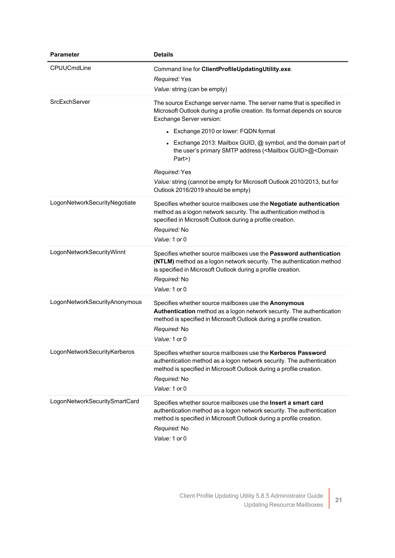| <b>Parameter</b>              | <b>Details</b>                                                                                                                                                                                                                                  |
|-------------------------------|-------------------------------------------------------------------------------------------------------------------------------------------------------------------------------------------------------------------------------------------------|
| CPUUCmdLine                   | Command line for ClientProfileUpdatingUtility.exe.<br>Required: Yes<br>Value: string (can be empty)                                                                                                                                             |
| SrcExchServer                 | The source Exchange server name. The server name that is specified in<br>Microsoft Outlook during a profile creation. Its format depends on source<br>Exchange Server version:                                                                  |
|                               | • Exchange 2010 or lower: FQDN format                                                                                                                                                                                                           |
|                               | Exchange 2013: Mailbox GUID, @ symbol, and the domain part of<br>the user's primary SMTP address ( <mailbox guid="">@<domain<br>Part&gt;)</domain<br></mailbox>                                                                                 |
|                               | Required: Yes                                                                                                                                                                                                                                   |
|                               | Value: string (cannot be empty for Microsoft Outlook 2010/2013, but for<br>Outlook 2016/2019 should be empty)                                                                                                                                   |
| LogonNetworkSecurityNegotiate | Specifies whether source mailboxes use the Negotiate authentication<br>method as a logon network security. The authentication method is<br>specified in Microsoft Outlook during a profile creation.<br>Required: No<br>Value: 1 or 0           |
| LogonNetworkSecurityWinnt     | Specifies whether source mailboxes use the Password authentication<br>(NTLM) method as a logon network security. The authentication method<br>is specified in Microsoft Outlook during a profile creation.<br>Required: No<br>Value: 1 or 0     |
| LogonNetworkSecurityAnonymous | Specifies whether source mailboxes use the Anonymous<br>Authentication method as a logon network security. The authentication<br>method is specified in Microsoft Outlook during a profile creation.<br>Required: No<br>Value: 1 or 0           |
| LogonNetworkSecurityKerberos  | Specifies whether source mailboxes use the Kerberos Password<br>authentication method as a logon network security. The authentication<br>method is specified in Microsoft Outlook during a profile creation.<br>Required: No<br>Value: 1 or 0   |
| LogonNetworkSecuritySmartCard | Specifies whether source mailboxes use the Insert a smart card<br>authentication method as a logon network security. The authentication<br>method is specified in Microsoft Outlook during a profile creation.<br>Required: No<br>Value: 1 or 0 |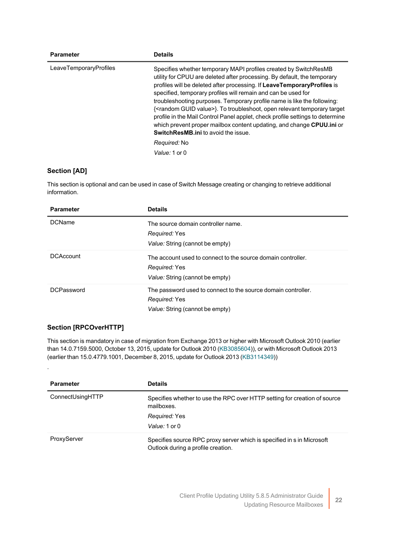| <b>Parameter</b><br><b>Details</b> |                                                                                                                                                                                                                                                                                                                                                                                                                                                                                                                                                                                                                                                                                                             |
|------------------------------------|-------------------------------------------------------------------------------------------------------------------------------------------------------------------------------------------------------------------------------------------------------------------------------------------------------------------------------------------------------------------------------------------------------------------------------------------------------------------------------------------------------------------------------------------------------------------------------------------------------------------------------------------------------------------------------------------------------------|
| LeaveTemporaryProfiles             | Specifies whether temporary MAPI profiles created by SwitchResMB<br>utility for CPUU are deleted after processing. By default, the temporary<br>profiles will be deleted after processing. If LeaveTemporaryProfiles is<br>specified, temporary profiles will remain and can be used for<br>troubleshooting purposes. Temporary profile name is like the following:<br>{ <random guid="" value="">}. To troubleshoot, open relevant temporary target<br/>profile in the Mail Control Panel applet, check profile settings to determine<br/>which prevent proper mailbox content updating, and change CPUU.ini or<br/><b>SwitchResMB.ini</b> to avoid the issue.<br/>Required: No<br/>Value: 1 or 0</random> |

### **Section [AD]**

This section is optional and can be used in case of Switch Message creating or changing to retrieve additional information.

| <b>Parameter</b>  | <b>Details</b>                                                                                                    |
|-------------------|-------------------------------------------------------------------------------------------------------------------|
| <b>DCName</b>     | The source domain controller name.                                                                                |
|                   | Required: Yes                                                                                                     |
|                   | Value: String (cannot be empty)                                                                                   |
| <b>DCAccount</b>  | The account used to connect to the source domain controller.<br>Required: Yes                                     |
|                   | Value: String (cannot be empty)                                                                                   |
| <b>DCPassword</b> | The password used to connect to the source domain controller.<br>Required: Yes<br>Value: String (cannot be empty) |

### **Section [RPCOverHTTP]**

.

This section is mandatory in case of migration from Exchange 2013 or higher with Microsoft Outlook 2010 (earlier than 14.0.7159.5000, October 13, 2015, update for Outlook 2010 ([KB3085604\)](https://support.microsoft.com/en-us/help/3085604/october-13-2015-update-for-outlook-2010-kb3085604)), or with Microsoft Outlook 2013 (earlier than 15.0.4779.1001, December 8, 2015, update for Outlook 2013 [\(KB3114349](https://support.microsoft.com/en-us/help/3114349/december-8-2015-update-for-outlook-2013-kb3114349)))

| <b>Parameter</b> | <b>Details</b>                                                                                               |
|------------------|--------------------------------------------------------------------------------------------------------------|
| ConnectUsingHTTP | Specifies whether to use the RPC over HTTP setting for creation of source<br>mailboxes                       |
|                  | Required: Yes                                                                                                |
|                  | Value: 1 or 0                                                                                                |
| ProxyServer      | Specifies source RPC proxy server which is specified in s in Microsoft<br>Outlook during a profile creation. |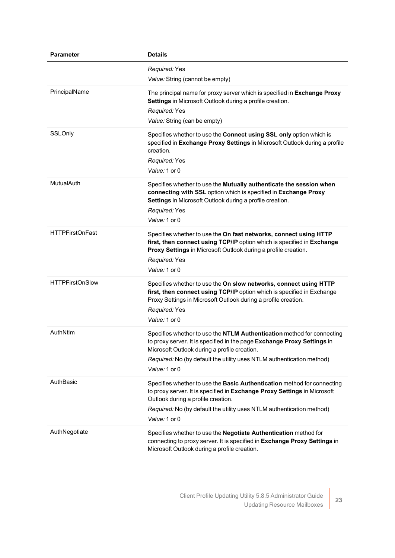| Parameter              | <b>Details</b>                                                                                                                                                                                                                                                                              |
|------------------------|---------------------------------------------------------------------------------------------------------------------------------------------------------------------------------------------------------------------------------------------------------------------------------------------|
|                        | Required: Yes<br>Value: String (cannot be empty)                                                                                                                                                                                                                                            |
| PrincipalName          | The principal name for proxy server which is specified in Exchange Proxy<br>Settings in Microsoft Outlook during a profile creation.<br>Required: Yes<br>Value: String (can be empty)                                                                                                       |
| SSLOnly                | Specifies whether to use the Connect using SSL only option which is<br>specified in Exchange Proxy Settings in Microsoft Outlook during a profile<br>creation.<br>Required: Yes<br>Value: 1 or 0                                                                                            |
| MutualAuth             | Specifies whether to use the Mutually authenticate the session when<br>connecting with SSL option which is specified in Exchange Proxy<br>Settings in Microsoft Outlook during a profile creation.<br>Required: Yes<br>Value: 1 or 0                                                        |
| <b>HTTPFirstOnFast</b> | Specifies whether to use the On fast networks, connect using HTTP<br>first, then connect using TCP/IP option which is specified in Exchange<br>Proxy Settings in Microsoft Outlook during a profile creation.<br>Required: Yes<br>Value: 1 or 0                                             |
| <b>HTTPFirstOnSlow</b> | Specifies whether to use the On slow networks, connect using HTTP<br>first, then connect using TCP/IP option which is specified in Exchange<br>Proxy Settings in Microsoft Outlook during a profile creation.<br>Required: Yes<br>Value: 1 or 0                                             |
| AuthNtlm               | Specifies whether to use the NTLM Authentication method for connecting<br>to proxy server. It is specified in the page Exchange Proxy Settings in<br>Microsoft Outlook during a profile creation.<br>Required: No (by default the utility uses NTLM authentication method)<br>Value: 1 or 0 |
| AuthBasic              | Specifies whether to use the Basic Authentication method for connecting<br>to proxy server. It is specified in Exchange Proxy Settings in Microsoft<br>Outlook during a profile creation.<br>Required: No (by default the utility uses NTLM authentication method)<br>Value: 1 or 0         |
| AuthNegotiate          | Specifies whether to use the Negotiate Authentication method for<br>connecting to proxy server. It is specified in Exchange Proxy Settings in<br>Microsoft Outlook during a profile creation.                                                                                               |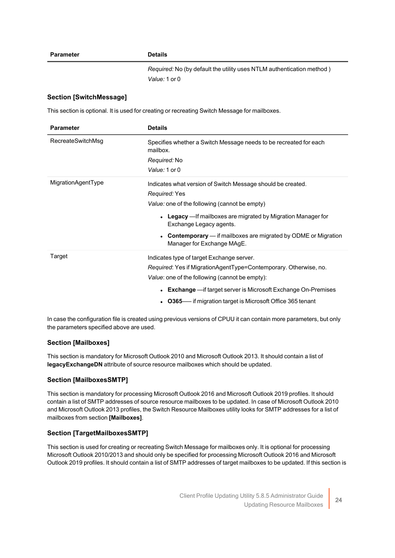#### **Parameter Details**

*Required:* No (by default the utility uses NTLM authentication method ) *Value:* 1 or 0

### **Section [SwitchMessage]**

This section is optional. It is used for creating or recreating Switch Message for mailboxes.

| <b>Parameter</b>   | <b>Details</b>                                                                                                                                                                                                                                                                                                                  |
|--------------------|---------------------------------------------------------------------------------------------------------------------------------------------------------------------------------------------------------------------------------------------------------------------------------------------------------------------------------|
| RecreateSwitchMsg  | Specifies whether a Switch Message needs to be recreated for each<br>mailbox.<br>Required: No                                                                                                                                                                                                                                   |
|                    | Value: 1 or 0                                                                                                                                                                                                                                                                                                                   |
| MigrationAgentType | Indicates what version of Switch Message should be created.<br>Required: Yes<br>Value: one of the following (cannot be empty)<br>• Legacy — If mailboxes are migrated by Migration Manager for<br>Exchange Legacy agents.<br><b>Contemporary</b> — if mailboxes are migrated by ODME or Migration<br>Manager for Exchange MAgE. |
| Target             | Indicates type of target Exchange server.<br>Required: Yes if MigrationAgentType=Contemporary. Otherwise, no.<br>Value: one of the following (cannot be empty):<br><b>Exchange</b> — if target server is Microsoft Exchange On-Premises<br>• 0365— if migration target is Microsoft Office 365 tenant                           |

In case the configuration file is created using previous versions of CPUU it can contain more parameters, but only the parameters specified above are used.

### **Section [Mailboxes]**

This section is mandatory for Microsoft Outlook 2010 and Microsoft Outlook 2013. It should contain a list of **legacyExchangeDN** attribute of source resource mailboxes which should be updated.

### **Section [MailboxesSMTP]**

This section is mandatory for processing Microsoft Outlook 2016 and Microsoft Outlook 2019 profiles. It should contain a list of SMTP addresses of source resource mailboxes to be updated. In case of Microsoft Outlook 2010 and Microsoft Outlook 2013 profiles, the Switch Resource Mailboxes utility looks for SMTP addresses for a list of mailboxes from section **[Mailboxes]**.

### **Section [TargetMailboxesSMTP]**

This section is used for creating or recreating Switch Message for mailboxes only. It is optional for processing Microsoft Outlook 2010/2013 and should only be specified for processing Microsoft Outlook 2016 and Microsoft Outlook 2019 profiles. It should contain a list of SMTP addresses of target mailboxes to be updated. If this section is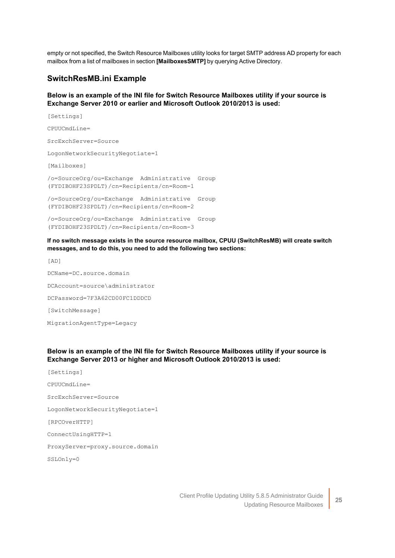empty or not specified, the Switch Resource Mailboxes utility looks for target SMTP address AD property for each mailbox from a list of mailboxes in section **[MailboxesSMTP]** by querying Active Directory.

### **SwitchResMB.ini Example**

### **Below is an example of the INI file for Switch Resource Mailboxes utility if your source is Exchange Server 2010 or earlier and Microsoft Outlook 2010/2013 is used:**

```
[Settings]
CPUUCmdLine=
SrcExchServer=Source
LogonNetworkSecurityNegotiate=1
[Mailboxes]
/o=SourceOrg/ou=Exchange Administrative Group
(FYDIBOHF23SPDLT)/cn=Recipients/cn=Room-1
/o=SourceOrg/ou=Exchange Administrative Group
(FYDIBOHF23SPDLT)/cn=Recipients/cn=Room-2
/o=SourceOrg/ou=Exchange Administrative Group
(FYDIBOHF23SPDLT)/cn=Recipients/cn=Room-3
```
**If no switch message exists in the source resource mailbox, СPUU (SwitchResMB) will create switch messages, and to do this, you need to add the following two sections:**

[AD] DCName=DC.source.domain DCAccount=source\administrator DCPassword=7F3A62CD00FC1DDDCD [SwitchMessage] MigrationAgentType=Legacy

### **Below is an example of the INI file for Switch Resource Mailboxes utility if your source is Exchange Server 2013 or higher and Microsoft Outlook 2010/2013 is used:**

[Settings] CPUUCmdLine= SrcExchServer=Source LogonNetworkSecurityNegotiate=1 [RPCOverHTTP] ConnectUsingHTTP=1 ProxyServer=proxy.source.domain SSLOnly=0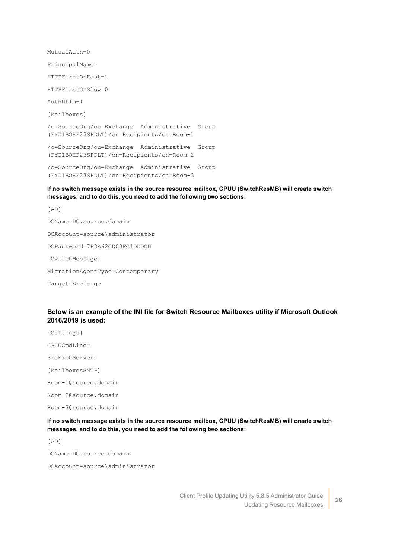MutualAuth=0 PrincipalName= HTTPFirstOnFast=1 HTTPFirstOnSlow=0 AuthNtlm=1 [Mailboxes] /o=SourceOrg/ou=Exchange Administrative Group (FYDIBOHF23SPDLT)/cn=Recipients/cn=Room-1 /o=SourceOrg/ou=Exchange Administrative Group (FYDIBOHF23SPDLT)/cn=Recipients/cn=Room-2 /o=SourceOrg/ou=Exchange Administrative Group (FYDIBOHF23SPDLT)/cn=Recipients/cn=Room-3

### **If no switch message exists in the source resource mailbox, СPUU (SwitchResMB) will create switch messages, and to do this, you need to add the following two sections:**

[AD] DCName=DC.source.domain DCAccount=source\administrator DCPassword=7F3A62CD00FC1DDDCD [SwitchMessage] MigrationAgentType=Contemporary Target=Exchange

### **Below is an example of the INI file for Switch Resource Mailboxes utility if Microsoft Outlook 2016/2019 is used:**

[Settings] CPUUCmdLine= SrcExchServer= [MailboxesSMTP] Room-1@source.domain Room-2@source.domain Room-3@source.domain

**If no switch message exists in the source resource mailbox, СPUU (SwitchResMB) will create switch messages, and to do this, you need to add the following two sections:**

[AD]

DCName=DC.source.domain

DCAccount=source\administrator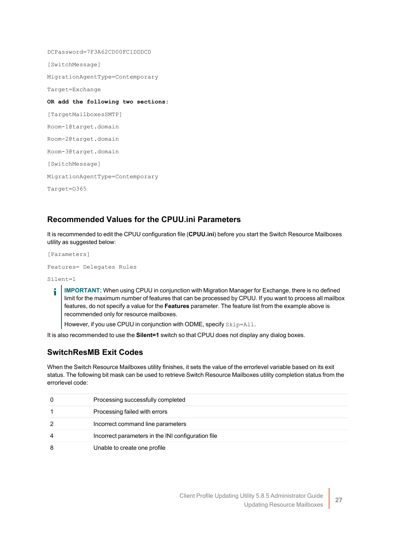DCPassword=7F3A62CD00FC1DDDCD [SwitchMessage] MigrationAgentType=Contemporary Target=Exchange **OR add the following two sections:** [TargetMailboxesSMTP] Room-1@target.domain Room-2@target.domain Room-3@target.domain [SwitchMessage] MigrationAgentType=Contemporary Target=O365

### <span id="page-29-0"></span>**Recommended Values for the CPUU.ini Parameters**

It is recommended to edit the CPUU configuration file (**CPUU.ini**) before you start the Switch Resource Mailboxes utility as suggested below:

[Parameters] Features= Delegates Rules

Silent=1

**IMPORTANT:** When using CPUU in conjunction with Migration Manager for Exchange, there is no defined ÷ limit for the maximum number of features that can be processed by CPUU. If you want to process all mailbox features, do not specify a value for the **Features** parameter. The feature list from the example above is recommended only for resource mailboxes.

However, if you use CPUU in conjunction with ODME, specify Skip=All.

It is also recommended to use the **Silent=1** switch so that CPUU does not display any dialog boxes.

### **SwitchResMB Exit Codes**

When the Switch Resource Mailboxes utility finishes, it sets the value of the errorlevel variable based on its exit status. The following bit mask can be used to retrieve Switch Resource Mailboxes utility completion status from the errorlevel code:

| Processing successfully completed                  |
|----------------------------------------------------|
| Processing failed with errors                      |
| Incorrect command line parameters                  |
| Incorrect parameters in the INI configuration file |
| Unable to create one profile                       |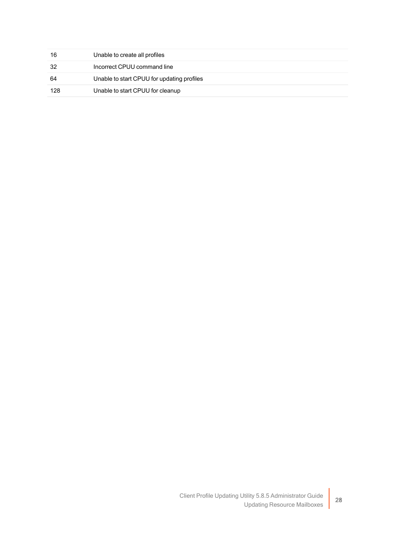| 16  | Unable to create all profiles              |
|-----|--------------------------------------------|
| -32 | Incorrect CPUU command line                |
| 64  | Unable to start CPUU for updating profiles |
| 128 | Unable to start CPUU for cleanup           |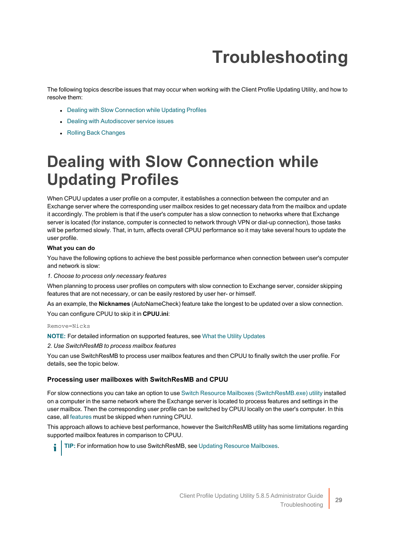# **Troubleshooting**

<span id="page-31-0"></span>The following topics describe issues that may occur when working with the Client Profile Updating Utility, and how to resolve them:

- Dealing with Slow [Connection](#page-31-1) while Updating Profiles
- Dealing with Autodiscover [service issues](#page-32-0)
- <span id="page-31-1"></span>• Rolling Back [Changes](../../../../../Content/Rolling Back Changes.htm)

# **Dealing with Slow Connection while Updating Profiles**

When CPUU updates a user profile on a computer, it establishes a connection between the computer and an Exchange server where the corresponding user mailbox resides to get necessary data from the mailbox and update it accordingly. The problem is that if the user's computer has a slow connection to networks where that Exchange server is located (for instance, computer is connected to network through VPN or dial-up connection), those tasks will be performed slowly. That, in turn, affects overall CPUU performance so it may take several hours to update the user profile.

### **What you can do**

You have the following options to achieve the best possible performance when connection between user's computer and network is slow:

#### *1. Choose to process only necessary features*

When planning to process user profiles on computers with slow connection to Exchange server, consider skipping features that are not necessary, or can be easily restored by user her- or himself.

As an example, the **Nicknames** (AutoNameCheck) feature take the longest to be updated over a slow connection. You can configure CPUU to skip it in **CPUU.ini**:

#### Remove=Nicks

**NOTE:** For detailed information on supported features, see What the Utility [Updates](#page-5-0)

*2. Use SwitchResMB to process mailbox features*

You can use SwitchResMB to process user mailbox features and then CPUU to finally switch the user profile. For details, see the topic below.

### **Processing user mailboxes with SwitchResMB and CPUU**

For slow connections you can take an option to use Switch Resource Mailboxes [\(SwitchResMB.exe\)](../../../../../Content/Updating Resource Mailboxes.htm) utility installed on a computer in the same network where the Exchange server is located to process features and settings in the user mailbox. Then the corresponding user profile can be switched by CPUU locally on the user's computer. In this case, all [features](../../../../../Content/What_Utility_Updates.htm) must be skipped when running CPUU.

This approach allows to achieve best performance, however the SwitchResMB utility has some limitations regarding supported mailbox features in comparison to CPUU.

**TIP:** For information how to use SwitchResMB, see Updating Resource [Mailboxes.](#page-21-0)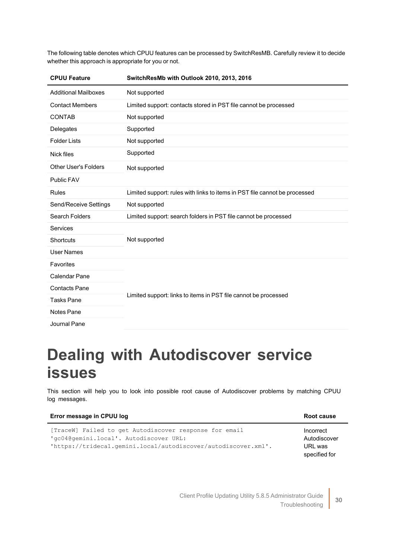The following table denotes which CPUU features can be processed by SwitchResMB. Carefully review it to decide whether this approach is appropriate for you or not.

| <b>CPUU Feature</b>         | SwitchResMb with Outlook 2010, 2013, 2016                                  |  |
|-----------------------------|----------------------------------------------------------------------------|--|
| <b>Additional Mailboxes</b> | Not supported                                                              |  |
| <b>Contact Members</b>      | Limited support: contacts stored in PST file cannot be processed           |  |
| <b>CONTAB</b>               | Not supported                                                              |  |
| Delegates                   | Supported                                                                  |  |
| <b>Folder Lists</b>         | Not supported                                                              |  |
| <b>Nick files</b>           | Supported                                                                  |  |
| <b>Other User's Folders</b> | Not supported                                                              |  |
| <b>Public FAV</b>           |                                                                            |  |
| <b>Rules</b>                | Limited support: rules with links to items in PST file cannot be processed |  |
| Send/Receive Settings       | Not supported                                                              |  |
| Search Folders              | Limited support: search folders in PST file cannot be processed            |  |
| <b>Services</b>             |                                                                            |  |
| <b>Shortcuts</b>            | Not supported                                                              |  |
| <b>User Names</b>           |                                                                            |  |
| Favorites                   |                                                                            |  |
| Calendar Pane               |                                                                            |  |
| <b>Contacts Pane</b>        | Limited support: links to items in PST file cannot be processed            |  |
| <b>Tasks Pane</b>           |                                                                            |  |
| <b>Notes Pane</b>           |                                                                            |  |
| Journal Pane                |                                                                            |  |

### <span id="page-32-0"></span>**Dealing with Autodiscover service issues**

This section will help you to look into possible root cause of Autodiscover problems by matching CPUU log messages.

| Error message in CPUU log                                                                                                                                             | Root cause                                            |
|-----------------------------------------------------------------------------------------------------------------------------------------------------------------------|-------------------------------------------------------|
| [TraceW] Failed to get Autodiscover response for email<br>'gc04@gemini.local'. Autodiscover URL:<br>$'$ https://trideca1.qemini.local/autodiscover/autodiscover.xml'. | Incorrect<br>Autodiscover<br>URL was<br>specified for |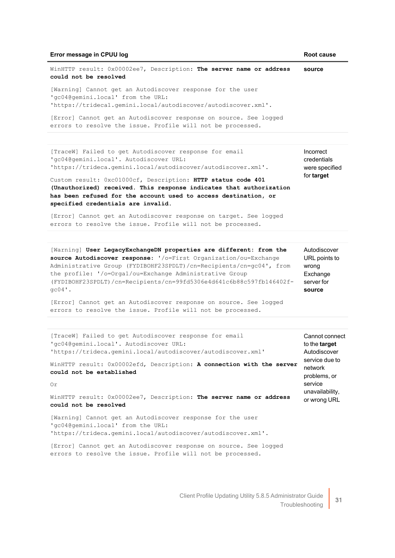#### **Error message in CPUU log Root cause**

WinHTTP result: 0x00002ee7, Description: **The server name or address could not be resolved** [Warning] Cannot get an Autodiscover response for the user **source**

'gc04@gemini.local' from the URL: 'https://trideca1.gemini.local/autodiscover/autodiscover.xml'.

[Error] Cannot get an Autodiscover response on source. See logged errors to resolve the issue. Profile will not be processed.

[TraceW] Failed to get Autodiscover response for email 'gc04@gemini.local'. Autodiscover URL: 'https://trideca.gemini.local/autodiscover/autodiscover.xml'.

Custom result: 0xc01000cf, Description: **HTTP status code 401 (Unauthorized) received. This response indicates that authorization has been refused for the account used to access destination, or specified credentials are invalid**.

[Error] Cannot get an Autodiscover response on target. See logged errors to resolve the issue. Profile will not be processed.

[Warning] **User LegacyExchangeDN properties are different: from the source Autodiscover response**: '/o=First Organization/ou=Exchange Administrative Group (FYDIBOHF23SPDLT)/cn=Recipients/cn=gc04', from the profile: '/o=Orga1/ou=Exchange Administrative Group (FYDIBOHF23SPDLT)/cn=Recipients/cn=99fd5306e4d641c6b88c597fb146402fgc04'. Autodiscover URL points to wrong Exchange server for **source**

[Error] Cannot get an Autodiscover response on source. See logged errors to resolve the issue. Profile will not be processed.

[TraceW] Failed to get Autodiscover response for email 'gc04@gemini.local'. Autodiscover URL: 'https://trideca.gemini.local/autodiscover/autodiscover.xml' WinHTTP result: 0x00002efd, Description: **A connection with the server could not be established** Or WinHTTP result: 0x00002ee7, Description: **The server name or address could not be resolved** [Warning] Cannot get an Autodiscover response for the user 'gc04@gemini.local' from the URL: 'https://trideca.gemini.local/autodiscover/autodiscover.xml'. [Error] Cannot get an Autodiscover response on source. See logged Cannot connect to the **target** Autodiscover service due to network problems, or service unavailability, or wrong URL

errors to resolve the issue. Profile will not be processed.

31

Incorrect credentials were specified for **target**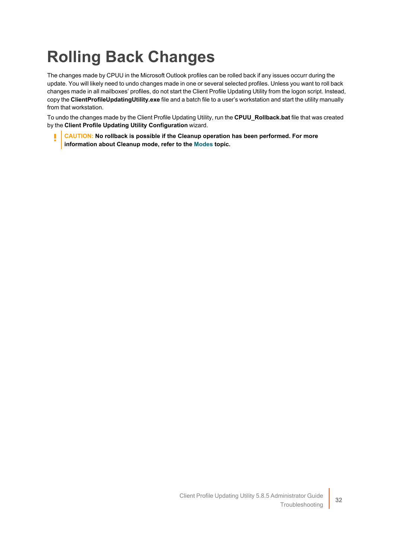# <span id="page-34-0"></span>**Rolling Back Changes**

The changes made by CPUU in the Microsoft Outlook profiles can be rolled back if any issues occurr during the update. You will likely need to undo changes made in one or several selected profiles. Unless you want to roll back changes made in all mailboxes' profiles, do not start the Client Profile Updating Utility from the logon script. Instead, copy the **ClientProfileUpdatingUtility.exe** file and a batch file to a user's workstation and start the utility manually from that workstation.

To undo the changes made by the Client Profile Updating Utility, run the **CPUU\_Rollback.bat** file that was created by the **Client Profile Updating Utility Configuration** wizard.

**CAUTION: No rollback is possible if the Cleanup operation has been performed. For more information about Cleanup mode, refer to the [Modes](../../../../../Content/Modes.htm) topic.**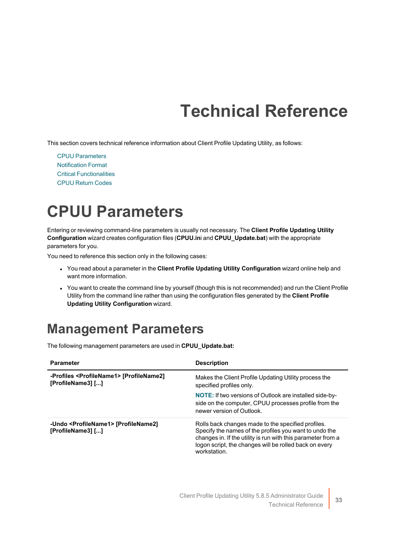# **Technical Reference**

<span id="page-35-0"></span>This section covers technical reference information about Client Profile Updating Utility, as follows:

CPUU [Parameters](#page-35-1) [Notification](#page-40-0) Format Critical [Functionalities](#page-42-0) CPUU [Return](#page-42-1) Codes

### <span id="page-35-1"></span>**CPUU Parameters**

Entering or reviewing command-line parameters is usually not necessary. The **Client Profile Updating Utility Configuration** wizard creates configuration files (**CPUU.in**i and **CPUU\_Update.bat**) with the appropriate parameters for you.

You need to reference this section only in the following cases:

- <sup>l</sup> You read about a parameter in the **Client Profile Updating Utility Configuration** wizard online help and want more information.
- You want to create the command line by yourself (though this is not recommended) and run the Client Profile Utility from the command line rather than using the configuration files generated by the **Client Profile Updating Utility Configuration** wizard.

### <span id="page-35-2"></span>**Management Parameters**

The following management parameters are used in **CPUU\_Update.bat:**

| <b>Parameter</b>                                                             | <b>Description</b>                                                                                                                                                                                                                                     |
|------------------------------------------------------------------------------|--------------------------------------------------------------------------------------------------------------------------------------------------------------------------------------------------------------------------------------------------------|
| -Profiles <profilename1> [ProfileName2]<br/>[ProfileName3] []</profilename1> | Makes the Client Profile Updating Utility process the<br>specified profiles only.                                                                                                                                                                      |
|                                                                              | <b>NOTE:</b> If two versions of Outlook are installed side-by-<br>side on the computer, CPUU processes profile from the<br>newer version of Outlook.                                                                                                   |
| -Undo <profilename1> [ProfileName2]<br/>[ProfileName3] []</profilename1>     | Rolls back changes made to the specified profiles.<br>Specify the names of the profiles you want to undo the<br>changes in. If the utility is run with this parameter from a<br>logon script, the changes will be rolled back on every<br>workstation. |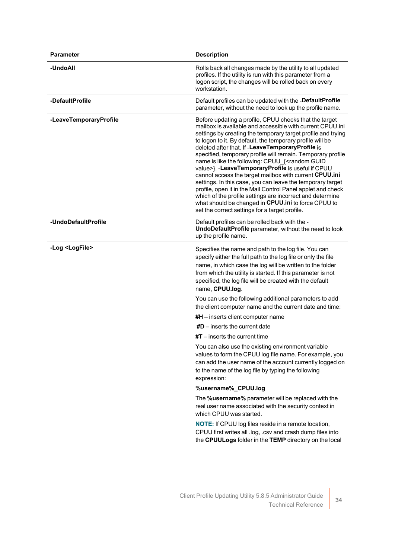| Parameter                | <b>Description</b>                                                                                                                                                                                                                                                                                                                                                                                                                                                                                                                                                                                                                                                                                                                                                                                                                                            |
|--------------------------|---------------------------------------------------------------------------------------------------------------------------------------------------------------------------------------------------------------------------------------------------------------------------------------------------------------------------------------------------------------------------------------------------------------------------------------------------------------------------------------------------------------------------------------------------------------------------------------------------------------------------------------------------------------------------------------------------------------------------------------------------------------------------------------------------------------------------------------------------------------|
| -UndoAll                 | Rolls back all changes made by the utility to all updated<br>profiles. If the utility is run with this parameter from a<br>logon script, the changes will be rolled back on every<br>workstation.                                                                                                                                                                                                                                                                                                                                                                                                                                                                                                                                                                                                                                                             |
| -DefaultProfile          | Default profiles can be updated with the -DefaultProfile<br>parameter, without the need to look up the profile name.                                                                                                                                                                                                                                                                                                                                                                                                                                                                                                                                                                                                                                                                                                                                          |
| -LeaveTemporaryProfile   | Before updating a profile, CPUU checks that the target<br>mailbox is available and accessible with current CPUU.ini<br>settings by creating the temporary target profile and trying<br>to logon to it. By default, the temporary profile will be<br>deleted after that. If -LeaveTemporaryProfile is<br>specified, temporary profile will remain. Temporary profile<br>name is like the following: CPUU_{ <random guid<br="">value&gt;}. -LeaveTemporaryProfile is useful if CPUU<br/>cannot access the target mailbox with current CPUU.ini<br/>settings. In this case, you can leave the temporary target<br/>profile, open it in the Mail Control Panel applet and check<br/>which of the profile settings are incorrect and determine<br/>what should be changed in CPUU.ini to force CPUU to<br/>set the correct settings for a target profile.</random> |
| -UndoDefaultProfile      | Default profiles can be rolled back with the -<br>UndoDefaultProfile parameter, without the need to look<br>up the profile name.                                                                                                                                                                                                                                                                                                                                                                                                                                                                                                                                                                                                                                                                                                                              |
| -Log <logfile></logfile> | Specifies the name and path to the log file. You can<br>specify either the full path to the log file or only the file<br>name, in which case the log will be written to the folder<br>from which the utility is started. If this parameter is not<br>specified, the log file will be created with the default<br>name, CPUU.log.                                                                                                                                                                                                                                                                                                                                                                                                                                                                                                                              |
|                          | You can use the following additional parameters to add<br>the client computer name and the current date and time:                                                                                                                                                                                                                                                                                                                                                                                                                                                                                                                                                                                                                                                                                                                                             |
|                          | $#H$ – inserts client computer name                                                                                                                                                                                                                                                                                                                                                                                                                                                                                                                                                                                                                                                                                                                                                                                                                           |
|                          | $#D$ – inserts the current date                                                                                                                                                                                                                                                                                                                                                                                                                                                                                                                                                                                                                                                                                                                                                                                                                               |
|                          | $\#T$ – inserts the current time                                                                                                                                                                                                                                                                                                                                                                                                                                                                                                                                                                                                                                                                                                                                                                                                                              |
|                          | You can also use the existing environment variable<br>values to form the CPUU log file name. For example, you<br>can add the user name of the account currently logged on<br>to the name of the log file by typing the following<br>expression:                                                                                                                                                                                                                                                                                                                                                                                                                                                                                                                                                                                                               |
|                          | %username%_CPUU.log                                                                                                                                                                                                                                                                                                                                                                                                                                                                                                                                                                                                                                                                                                                                                                                                                                           |
|                          | The %username% parameter will be replaced with the<br>real user name associated with the security context in<br>which CPUU was started.                                                                                                                                                                                                                                                                                                                                                                                                                                                                                                                                                                                                                                                                                                                       |
|                          | <b>NOTE:</b> If CPUU log files reside in a remote location,<br>CPUU first writes all .log, .csv and crash dump files into<br>the CPUULogs folder in the TEMP directory on the local                                                                                                                                                                                                                                                                                                                                                                                                                                                                                                                                                                                                                                                                           |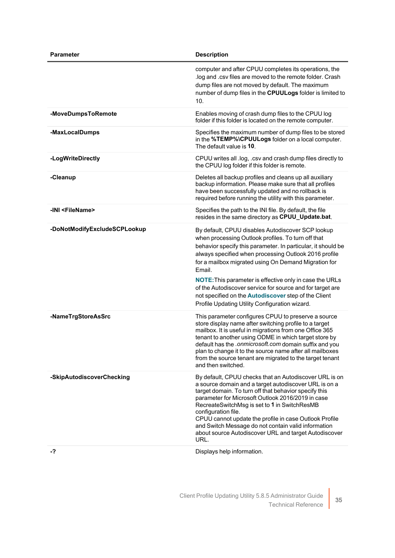| <b>Parameter</b>             | <b>Description</b>                                                                                                                                                                                                                                                                                                                                                                                                                                                                                                                                 |
|------------------------------|----------------------------------------------------------------------------------------------------------------------------------------------------------------------------------------------------------------------------------------------------------------------------------------------------------------------------------------------------------------------------------------------------------------------------------------------------------------------------------------------------------------------------------------------------|
|                              | computer and after CPUU completes its operations, the<br>log and .csv files are moved to the remote folder. Crash<br>dump files are not moved by default. The maximum<br>number of dump files in the CPUULogs folder is limited to<br>10.                                                                                                                                                                                                                                                                                                          |
| -MoveDumpsToRemote           | Enables moving of crash dump files to the CPUU log<br>folder if this folder is located on the remote computer.                                                                                                                                                                                                                                                                                                                                                                                                                                     |
| -MaxLocalDumps               | Specifies the maximum number of dump files to be stored<br>in the %TEMP%\CPUULogs folder on a local computer.<br>The default value is 10.                                                                                                                                                                                                                                                                                                                                                                                                          |
| -LogWriteDirectly            | CPUU writes all .log, .csv and crash dump files directly to<br>the CPUU log folder if this folder is remote.                                                                                                                                                                                                                                                                                                                                                                                                                                       |
| -Cleanup                     | Deletes all backup profiles and cleans up all auxiliary<br>backup information. Please make sure that all profiles<br>have been successfully updated and no rollback is<br>required before running the utility with this parameter.                                                                                                                                                                                                                                                                                                                 |
| -INI <filename></filename>   | Specifies the path to the INI file. By default, the file<br>resides in the same directory as CPUU_Update.bat.                                                                                                                                                                                                                                                                                                                                                                                                                                      |
| -DoNotModifyExcludeSCPLookup | By default, CPUU disables Autodiscover SCP lookup<br>when processing Outlook profiles. To turn off that<br>behavior specify this parameter. In particular, it should be<br>always specified when processing Outlook 2016 profile<br>for a mailbox migrated using On Demand Migration for<br>Email.<br><b>NOTE:</b> This parameter is effective only in case the URLs<br>of the Autodiscover service for source and for target are<br>not specified on the <b>Autodiscover</b> step of the Client<br>Profile Updating Utility Configuration wizard. |
| -NameTrgStoreAsSrc           | This parameter configures CPUU to preserve a source<br>store display name after switching profile to a target<br>mailbox. It is useful in migrations from one Office 365<br>tenant to another using ODME in which target store by<br>default has the .onmicrosoft.com domain suffix and you<br>plan to change it to the source name after all mailboxes<br>from the source tenant are migrated to the target tenant<br>and then switched.                                                                                                          |
| -SkipAutodiscoverChecking    | By default, CPUU checks that an Autodiscover URL is on<br>a source domain and a target autodiscover URL is on a<br>target domain. To turn off that behavior specify this<br>parameter for Microsoft Outlook 2016/2019 in case<br>RecreateSwitchMsg is set to 1 in SwitchResMB<br>configuration file.<br>CPUU cannot update the profile in case Outlook Profile<br>and Switch Message do not contain valid information<br>about source Autodiscover URL and target Autodiscover<br>URL.                                                             |
| -?                           | Displays help information.                                                                                                                                                                                                                                                                                                                                                                                                                                                                                                                         |

Client Profile Updating Utility 5.8.5 Administrator Guide Technical Reference  $\overline{\phantom{a}}$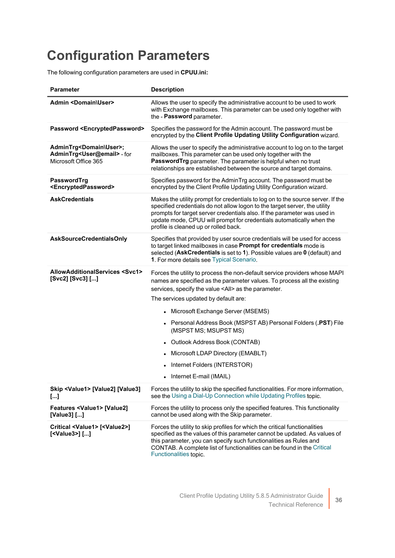### <span id="page-38-0"></span>**Configuration Parameters**

The following configuration parameters are used in **CPUU.ini:**

| <b>Parameter</b>                                                                                           | <b>Description</b>                                                                                                                                                                                                                                                                                                                                         |
|------------------------------------------------------------------------------------------------------------|------------------------------------------------------------------------------------------------------------------------------------------------------------------------------------------------------------------------------------------------------------------------------------------------------------------------------------------------------------|
| <b>Admin <domain\user></domain\user></b>                                                                   | Allows the user to specify the administrative account to be used to work<br>with Exchange mailboxes. This parameter can be used only together with<br>the - Password parameter.                                                                                                                                                                            |
| Password <encryptedpassword></encryptedpassword>                                                           | Specifies the password for the Admin account. The password must be<br>encrypted by the Client Profile Updating Utility Configuration wizard.                                                                                                                                                                                                               |
| AdminTrg <domain\user>;<br/>AdminTrg<user@email> - for<br/>Microsoft Office 365</user@email></domain\user> | Allows the user to specify the administrative account to log on to the target<br>mailboxes. This parameter can be used only together with the<br>PasswordTrg parameter. The parameter is helpful when no trust<br>relationships are established between the source and target domains.                                                                     |
| PasswordTrg<br><encryptedpassword></encryptedpassword>                                                     | Specifies password for the AdminTrg account. The password must be<br>encrypted by the Client Profile Updating Utility Configuration wizard.                                                                                                                                                                                                                |
| <b>AskCredentials</b>                                                                                      | Makes the utility prompt for credentials to log on to the source server. If the<br>specified credentials do not allow logon to the target server, the utility<br>prompts for target server credentials also. If the parameter was used in<br>update mode, CPUU will prompt for credentials automatically when the<br>profile is cleaned up or rolled back. |
| <b>AskSourceCredentialsOnly</b>                                                                            | Specifies that provided by user source credentials will be used for access<br>to target linked mailboxes in case Prompt for credentials mode is<br>selected (AskCredentials is set to 1). Possible values are 0 (default) and<br>1. For more details see Typical Scenario.                                                                                 |
| AllowAdditionalServices <svc1><br/>[Svc2] [Svc3] []</svc1>                                                 | Forces the utility to process the non-default service providers whose MAPI<br>names are specified as the parameter values. To process all the existing<br>services, specify the value <all> as the parameter.<br/>The services updated by default are:</all>                                                                                               |
|                                                                                                            | • Microsoft Exchange Server (MSEMS)                                                                                                                                                                                                                                                                                                                        |
|                                                                                                            | • Personal Address Book (MSPST AB) Personal Folders (.PST) File<br>(MSPST MS; MSUPST MS)                                                                                                                                                                                                                                                                   |
|                                                                                                            | • Outlook Address Book (CONTAB)                                                                                                                                                                                                                                                                                                                            |
|                                                                                                            | • Microsoft LDAP Directory (EMABLT)                                                                                                                                                                                                                                                                                                                        |
|                                                                                                            | • Internet Folders (INTERSTOR)                                                                                                                                                                                                                                                                                                                             |
|                                                                                                            | • Internet E-mail (IMAIL)                                                                                                                                                                                                                                                                                                                                  |
| Skip <value1> [Value2] [Value3]<br/><math>\left[\ldots\right]</math></value1>                              | Forces the utility to skip the specified functionalities. For more information,<br>see the Using a Dial-Up Connection while Updating Profiles topic.                                                                                                                                                                                                       |
| Features <value1> [Value2]<br/>[Value3] []</value1>                                                        | Forces the utility to process only the specified features. This functionality<br>cannot be used along with the Skip parameter.                                                                                                                                                                                                                             |
| Critical <value1> [<value2>]<br/>[<value3>] []</value3></value2></value1>                                  | Forces the utility to skip profiles for which the critical functionalities<br>specified as the values of this parameter cannot be updated. As values of<br>this parameter, you can specify such functionalities as Rules and<br>CONTAB. A complete list of functionalities can be found in the Critical<br>Functionalities topic.                          |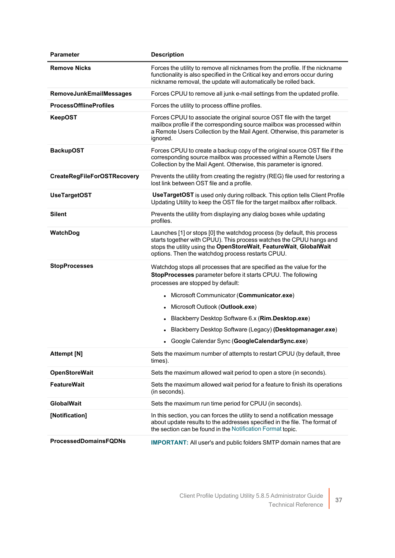| <b>Parameter</b>                   | <b>Description</b>                                                                                                                                                                                                                                                                                                                                                                                                                 |
|------------------------------------|------------------------------------------------------------------------------------------------------------------------------------------------------------------------------------------------------------------------------------------------------------------------------------------------------------------------------------------------------------------------------------------------------------------------------------|
| <b>Remove Nicks</b>                | Forces the utility to remove all nicknames from the profile. If the nickname<br>functionality is also specified in the Critical key and errors occur during<br>nickname removal, the update will automatically be rolled back.                                                                                                                                                                                                     |
| RemoveJunkEmailMessages            | Forces CPUU to remove all junk e-mail settings from the updated profile.                                                                                                                                                                                                                                                                                                                                                           |
| <b>ProcessOfflineProfiles</b>      | Forces the utility to process offline profiles.                                                                                                                                                                                                                                                                                                                                                                                    |
| <b>KeepOST</b>                     | Forces CPUU to associate the original source OST file with the target<br>mailbox profile if the corresponding source mailbox was processed within<br>a Remote Users Collection by the Mail Agent. Otherwise, this parameter is<br>ignored.                                                                                                                                                                                         |
| <b>BackupOST</b>                   | Forces CPUU to create a backup copy of the original source OST file if the<br>corresponding source mailbox was processed within a Remote Users<br>Collection by the Mail Agent. Otherwise, this parameter is ignored.                                                                                                                                                                                                              |
| <b>CreateRegFileForOSTRecovery</b> | Prevents the utility from creating the registry (REG) file used for restoring a<br>lost link between OST file and a profile.                                                                                                                                                                                                                                                                                                       |
| <b>UseTargetOST</b>                | <b>UseTargetOST</b> is used only during rollback. This option tells Client Profile<br>Updating Utility to keep the OST file for the target mailbox after rollback.                                                                                                                                                                                                                                                                 |
| Silent                             | Prevents the utility from displaying any dialog boxes while updating<br>profiles.                                                                                                                                                                                                                                                                                                                                                  |
| WatchDog                           | Launches [1] or stops [0] the watchdog process (by default, this process<br>starts together with CPUU). This process watches the CPUU hangs and<br>stops the utility using the OpenStoreWait, FeatureWait, GlobalWait<br>options. Then the watchdog process restarts CPUU.                                                                                                                                                         |
| <b>StopProcesses</b>               | Watchdog stops all processes that are specified as the value for the<br>StopProcesses parameter before it starts CPUU. The following<br>processes are stopped by default:<br>• Microsoft Communicator (Communicator.exe)<br>Microsoft Outlook (Outlook.exe)<br>Blackberry Desktop Software 6.x (Rim.Desktop.exe)<br>• Blackberry Desktop Software (Legacy) (Desktopmanager.exe)<br>• Google Calendar Sync (GoogleCalendarSync.exe) |
| <b>Attempt [N]</b>                 | Sets the maximum number of attempts to restart CPUU (by default, three<br>times).                                                                                                                                                                                                                                                                                                                                                  |
| <b>OpenStoreWait</b>               | Sets the maximum allowed wait period to open a store (in seconds).                                                                                                                                                                                                                                                                                                                                                                 |
| <b>FeatureWait</b>                 | Sets the maximum allowed wait period for a feature to finish its operations<br>(in seconds).                                                                                                                                                                                                                                                                                                                                       |
| <b>GlobalWait</b>                  | Sets the maximum run time period for CPUU (in seconds).                                                                                                                                                                                                                                                                                                                                                                            |
| [Notification]                     | In this section, you can forces the utility to send a notification message<br>about update results to the addresses specified in the file. The format of<br>the section can be found in the Notification Format topic.                                                                                                                                                                                                             |
| <b>ProcessedDomainsFQDNs</b>       | <b>IMPORTANT:</b> All user's and public folders SMTP domain names that are                                                                                                                                                                                                                                                                                                                                                         |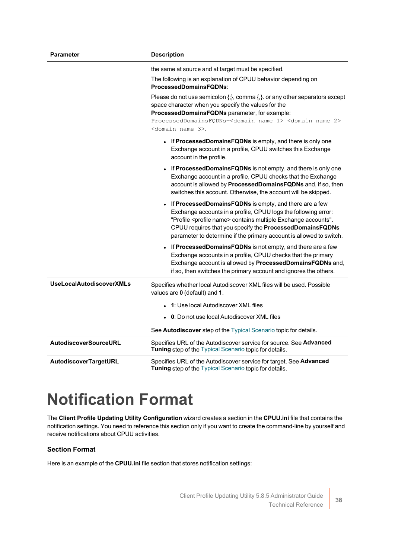| <b>Parameter</b>                | <b>Description</b>                                                                                                                                                                                                                                                                                                                                                                                                                                                               |
|---------------------------------|----------------------------------------------------------------------------------------------------------------------------------------------------------------------------------------------------------------------------------------------------------------------------------------------------------------------------------------------------------------------------------------------------------------------------------------------------------------------------------|
|                                 | the same at source and at target must be specified.<br>The following is an explanation of CPUU behavior depending on<br>ProcessedDomainsFQDNs:<br>Please do not use semicolon $\{\cdot\}$ , comma $\{\cdot\}$ or any other separators except<br>space character when you specify the values for the<br>ProcessedDomainsFQDNs parameter, for example:<br>ProcessedDomainsFQDNs= <domain 1="" name=""> <domain 2="" name=""><br/><domain 3="" name="">.</domain></domain></domain> |
|                                 | • If ProcessedDomainsFQDNs is empty, and there is only one<br>Exchange account in a profile, CPUU switches this Exchange<br>account in the profile.                                                                                                                                                                                                                                                                                                                              |
|                                 | If ProcessedDomainsFQDNs is not empty, and there is only one<br>Exchange account in a profile, CPUU checks that the Exchange<br>account is allowed by ProcessedDomainsFQDNs and, if so, then<br>switches this account. Otherwise, the account will be skipped.                                                                                                                                                                                                                   |
|                                 | • If ProcessedDomainsFQDNs is empty, and there are a few<br>Exchange accounts in a profile, CPUU logs the following error:<br>"Profile <profile name=""> contains multiple Exchange accounts".<br/>CPUU requires that you specify the ProcessedDomainsFQDNs<br/>parameter to determine if the primary account is allowed to switch.</profile>                                                                                                                                    |
|                                 | • If ProcessedDomainsFQDNs is not empty, and there are a few<br>Exchange accounts in a profile, CPUU checks that the primary<br>Exchange account is allowed by ProcessedDomainsFQDNs and,<br>if so, then switches the primary account and ignores the others.                                                                                                                                                                                                                    |
| <b>UseLocalAutodiscoverXMLs</b> | Specifies whether local Autodiscover XML files will be used. Possible<br>values are 0 (default) and 1.                                                                                                                                                                                                                                                                                                                                                                           |
|                                 | • 1: Use local Autodiscover XML files                                                                                                                                                                                                                                                                                                                                                                                                                                            |
|                                 | • 0: Do not use local Autodiscover XML files                                                                                                                                                                                                                                                                                                                                                                                                                                     |
|                                 | See Autodiscover step of the Typical Scenario topic for details.                                                                                                                                                                                                                                                                                                                                                                                                                 |
| <b>AutodiscoverSourceURL</b>    | Specifies URL of the Autodiscover service for source. See Advanced<br>Tuning step of the Typical Scenario topic for details.                                                                                                                                                                                                                                                                                                                                                     |
| AutodiscoverTargetURL           | Specifies URL of the Autodiscover service for target. See Advanced<br>Tuning step of the Typical Scenario topic for details.                                                                                                                                                                                                                                                                                                                                                     |

### <span id="page-40-0"></span>**Notification Format**

The **Client Profile Updating Utility Configuration** wizard creates a section in the **CPUU.ini** file that contains the notification settings. You need to reference this section only if you want to create the command-line by yourself and receive notifications about CPUU activities.

### **Section Format**

Here is an example of the **CPUU.ini** file section that stores notification settings: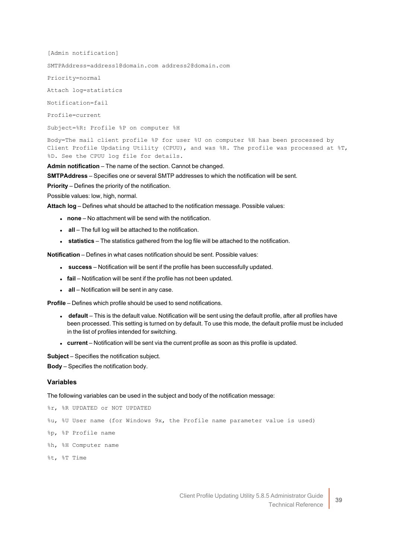[Admin notification] SMTPAddress=address1@domain.com address2@domain.com Priority=normal Attach log=statistics Notification=fail Profile=current Subject=%R: Profile %P on computer %H Body=The mail client profile %P for user %U on computer %H has been processed by Client Profile Updating Utility (CPUU), and was %R. The profile was processed at %T,

**Admin notification** – The name of the section. Cannot be changed.

**SMTPAddress** – Specifies one or several SMTP addresses to which the notification will be sent.

**Priority** – Defines the priority of the notification.

%D. See the CPUU log file for details.

Possible values: low, high, normal.

**Attach log** – Defines what should be attached to the notification message. Possible values:

- **none** No attachment will be send with the notification.
- **all** The full log will be attached to the notification.
- **statistics** The statistics gathered from the log file will be attached to the notification.

**Notification** – Defines in what cases notification should be sent. Possible values:

- **success** Notification will be sent if the profile has been successfully updated.
- **fail** Notification will be sent if the profile has not been updated.
- **all** Notification will be sent in any case.

**Profile** – Defines which profile should be used to send notifications.

- **default** This is the default value. Notification will be sent using the default profile, after all profiles have been processed. This setting is turned on by default. To use this mode, the default profile must be included in the list of profiles intended for switching.
- **current** Notification will be sent via the current profile as soon as this profile is updated.

**Subject** – Specifies the notification subject.

**Body** – Specifies the notification body.

#### **Variables**

The following variables can be used in the subject and body of the notification message:

```
%r, %R UPDATED or NOT UPDATED
```
%u, %U User name (for Windows 9x, the Profile name parameter value is used)

- %p, %P Profile name
- %h, %H Computer name
- %t, %T Time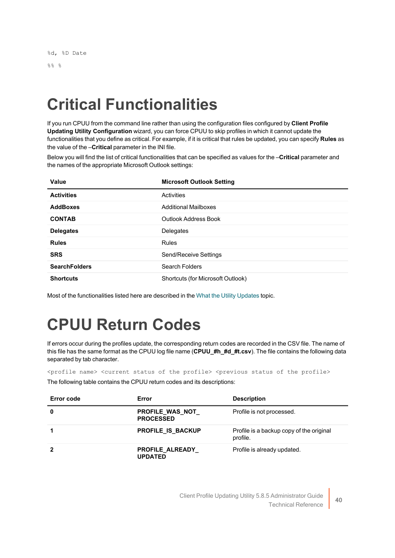# <span id="page-42-0"></span>**Critical Functionalities**

If you run CPUU from the command line rather than using the configuration files configured by **Client Profile Updating Utility Configuration** wizard, you can force CPUU to skip profiles in which it cannot update the functionalities that you define as critical. For example, if it is critical that rules be updated, you can specify **Rules** as the value of the –**Critical** parameter in the INI file.

Below you will find the list of critical functionalities that can be specified as values for the –**Critical** parameter and the names of the appropriate Microsoft Outlook settings:

| Value                | <b>Microsoft Outlook Setting</b>  |
|----------------------|-----------------------------------|
| <b>Activities</b>    | Activities                        |
| <b>AddBoxes</b>      | <b>Additional Mailboxes</b>       |
| <b>CONTAB</b>        | Outlook Address Book              |
| <b>Delegates</b>     | Delegates                         |
| <b>Rules</b>         | <b>Rules</b>                      |
| <b>SRS</b>           | Send/Receive Settings             |
| <b>SearchFolders</b> | <b>Search Folders</b>             |
| <b>Shortcuts</b>     | Shortcuts (for Microsoft Outlook) |

<span id="page-42-1"></span>Most of the functionalities listed here are described in the What the Utility [Updates](../../../../../Content/What_Utility_Updates.htm) topic.

# **CPUU Return Codes**

If errors occur during the profiles update, the corresponding return codes are recorded in the CSV file. The name of this file has the same format as the CPUU log file name (**CPUU\_#h\_#d\_#t.csv**). The file contains the following data separated by tab character.

<profile name> <current status of the profile> <previous status of the profile>

The following table contains the CPUU return codes and its descriptions:

| Error code | Error                                | <b>Description</b>                                   |
|------------|--------------------------------------|------------------------------------------------------|
| 0          | PROFILE_WAS_NOT_<br><b>PROCESSED</b> | Profile is not processed.                            |
|            | <b>PROFILE IS BACKUP</b>             | Profile is a backup copy of the original<br>profile. |
|            | PROFILE_ALREADY_<br><b>UPDATED</b>   | Profile is already updated.                          |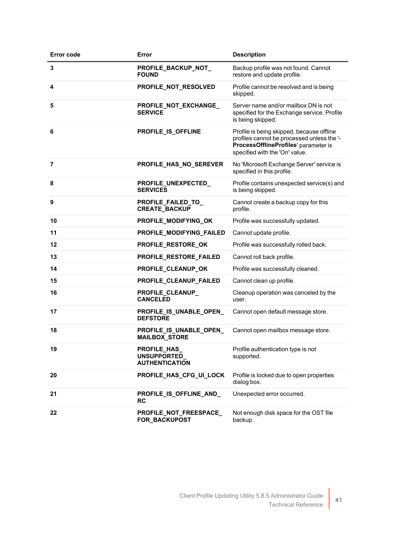| <b>Error code</b> | Error                                                              | <b>Description</b>                                                                                                                                                |
|-------------------|--------------------------------------------------------------------|-------------------------------------------------------------------------------------------------------------------------------------------------------------------|
| 3                 | PROFILE_BACKUP_NOT_<br><b>FOUND</b>                                | Backup profile was not found. Cannot<br>restore and update profile.                                                                                               |
| 4                 | PROFILE_NOT_RESOLVED                                               | Profile cannot be resolved and is being<br>skipped.                                                                                                               |
| 5                 | PROFILE_NOT_EXCHANGE_<br><b>SERVICE</b>                            | Server name and/or mailbox DN is not<br>specified for the Exchange service. Profile<br>is being skipped.                                                          |
| 6                 | PROFILE_IS_OFFLINE                                                 | Profile is being skipped, because offline<br>profiles cannot be processed unless the '-<br>ProcessOfflineProfiles' parameter is<br>specified with the 'On' value. |
| 7                 | PROFILE_HAS_NO_SEREVER                                             | No 'Microsoft Exchange Server' service is<br>specified in this profile.                                                                                           |
| 8                 | PROFILE_UNEXPECTED_<br><b>SERVICES</b>                             | Profile contains unexpected service(s) and<br>is being skipped.                                                                                                   |
| 9                 | PROFILE_FAILED_TO_<br><b>CREATE_BACKUP</b>                         | Cannot create a backup copy for this<br>profile.                                                                                                                  |
| 10                | PROFILE_MODIFYING_OK                                               | Profile was successfully updated.                                                                                                                                 |
| 11                | PROFILE_MODIFYING_FAILED                                           | Cannot update profile.                                                                                                                                            |
| 12                | PROFILE_RESTORE_OK                                                 | Profile was successfully rolled back.                                                                                                                             |
| 13                | PROFILE_RESTORE_FAILED                                             | Cannot roll back profile.                                                                                                                                         |
| 14                | PROFILE_CLEANUP_OK                                                 | Profile was successfully cleaned.                                                                                                                                 |
| 15                | PROFILE_CLEANUP_FAILED                                             | Cannot clean up profile.                                                                                                                                          |
| 16                | PROFILE_CLEANUP_<br><b>CANCELED</b>                                | Cleanup operation was canceled by the<br>user.                                                                                                                    |
| 17                | PROFILE_IS_UNABLE_OPEN_<br><b>DEFSTORE</b>                         | Cannot open default message store.                                                                                                                                |
| 18                | PROFILE_IS_UNABLE_OPEN_<br><b>MAILBOX_STORE</b>                    | Cannot open mailbox message store.                                                                                                                                |
| 19                | <b>PROFILE_HAS_</b><br><b>UNSUPPORTED</b><br><b>AUTHENTICATION</b> | Profile authentication type is not<br>supported.                                                                                                                  |
| 20                | PROFILE_HAS_CFG_UI_LOCK                                            | Profile is locked due to open properties<br>dialog box.                                                                                                           |
| 21                | PROFILE_IS_OFFLINE_AND_<br>RC                                      | Unexpected error occurred.                                                                                                                                        |
| 22                | PROFILE_NOT_FREESPACE_<br>FOR_BACKUPOST                            | Not enough disk space for the OST file<br>backup.                                                                                                                 |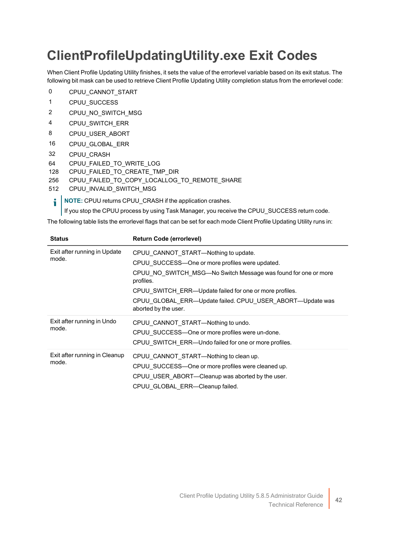### <span id="page-44-0"></span>**ClientProfileUpdatingUtility.exe Exit Codes**

When Client Profile Updating Utility finishes, it sets the value of the errorlevel variable based on its exit status. The following bit mask can be used to retrieve Client Profile Updating Utility completion status from the errorlevel code:

- 0 CPUU CANNOT START
- 1 CPUU\_SUCCESS
- 2 CPUU NO SWITCH MSG
- 4 CPUU SWITCH ERR
- 8 CPUU USER ABORT
- 16 CPUU\_GLOBAL\_ERR
- 32 CPUU\_CRASH
- 64 CPUU\_FAILED\_TO\_WRITE\_LOG
- 128 CPUU FAILED TO CREATE TMP DIR
- 256 CPUU\_FAILED\_TO\_COPY\_LOCALLOG\_TO\_REMOTE\_SHARE
- 512 CPUU INVALID SWITCH MSG
	- **NOTE:** CPUU returns CPUU\_CRASH if the application crashes. i

If you stop the CPUU process by using Task Manager, you receive the CPUU\_SUCCESS return code.

The following table lists the errorlevel flags that can be set for each mode Client Profile Updating Utility runs in:

| <b>Status</b>                          | <b>Return Code (errorlevel)</b>                                                                                                                                                                                                                                                                |
|----------------------------------------|------------------------------------------------------------------------------------------------------------------------------------------------------------------------------------------------------------------------------------------------------------------------------------------------|
| Exit after running in Update<br>mode.  | CPUU CANNOT START—Nothing to update.<br>CPUU SUCCESS—One or more profiles were updated.<br>CPUU NO SWITCH MSG-No Switch Message was found for one or more<br>profiles.<br>CPUU SWITCH ERR—Update failed for one or more profiles.<br>CPUU GLOBAL ERR—Update failed. CPUU USER ABORT—Update was |
| Exit after running in Undo<br>mode.    | aborted by the user.<br>CPUU_CANNOT_START-Nothing to undo.<br>CPUU SUCCESS-One or more profiles were un-done.<br>CPUU SWITCH ERR-Undo failed for one or more profiles.                                                                                                                         |
| Exit after running in Cleanup<br>mode. | CPUU CANNOT_START-Nothing to clean up.<br>CPUU SUCCESS—One or more profiles were cleaned up.<br>CPUU USER ABORT—Cleanup was aborted by the user.<br>CPUU GLOBAL ERR-Cleanup failed.                                                                                                            |